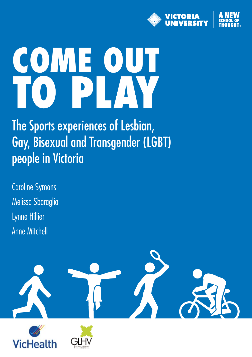

# **COME OUT TO PLAY**

The Sports experiences of Lesbian, Gay, Bisexual and Transgender (LGBT) people in Victoria

Caroline Symons Melissa Sbaraglia Lynne Hillier Anne Mitchell

**VicHealt**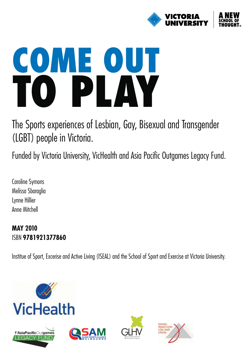

# **COME OUT TO PLAY**

The Sports experiences of Lesbian, Gay, Bisexual and Transgender (LGBT) people in Victoria.

Funded by Victoria University, VicHealth and Asia Pacific Outgames Legacy Fund.

Caroline Symons Melissa Sbaraglia Lynne Hillier Anne Mitchell

# **MAY 2010** ISBN **9781921377860**

Institue of Sport, Excerise and Active Living (ISEAL) and the School of Sport and Exercise at Victoria University.







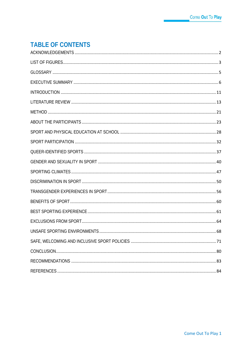# **TABLE OF CONTENTS**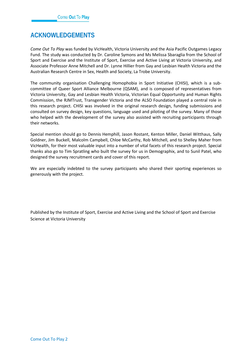# <span id="page-3-0"></span>**ACKNOWLEDGEMENTS**

*Come Out To Play* was funded by VicHealth, Victoria University and the Asia Pacific Outgames Legacy Fund. The study was conducted by Dr. Caroline Symons and Ms Melissa Sbaraglia from the School of Sport and Exercise and the Institute of Sport, Exercise and Active Living at Victoria University, and Associate Professor Anne Mitchell and Dr. Lynne Hillier from Gay and Lesbian Health Victoria and the Australian Research Centre in Sex, Health and Society, La Trobe University.

The community organisation Challenging Homophobia in Sport Initiative (CHISI), which is a subcommittee of Queer Sport Alliance Melbourne (QSAM), and is composed of representatives from Victoria University, Gay and Lesbian Health Victoria, Victorian Equal Opportunity and Human Rights Commission, the RJMTrust, Transgender Victoria and the ALSO Foundation played a central role in this research project. CHISI was involved in the original research design, funding submissions and consulted on survey design, key questions, language used and piloting of the survey. Many of those who helped with the development of the survey also assisted with recruiting participants through their networks.

Special mention should go to Dennis Hemphill, Jason Rostant, Kenton Miller, Daniel Witthaus, Sally Goldner, Jim Buckell, Malcolm Campbell, Chloe McCarthy, Rob Mitchell, and to Shelley Maher from VicHealth, for their most valuable input into a number of vital facets of this research project. Special thanks also go to Tim Spratling who built the survey for us in Demographix, and to Sunil Patel, who designed the survey recruitment cards and cover of this report.

We are especially indebted to the survey participants who shared their sporting experiences so generously with the project.

Published by the Institute of Sport, Exercise and Active Living and the School of Sport and Exercise Science at Victoria University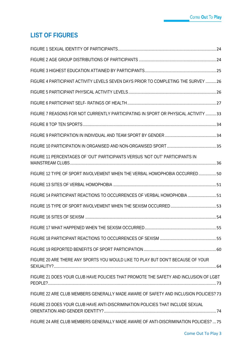# <span id="page-4-0"></span>**LIST OF FIGURES**

| FIGURE 4 PARTICIPANT ACTIVITY LEVELS SEVEN DAYS PRIOR TO COMPLETING THE SURVEY  26   |  |
|--------------------------------------------------------------------------------------|--|
|                                                                                      |  |
|                                                                                      |  |
| FIGURE 7 REASONS FOR NOT CURRENTLY PARTICIPATING IN SPORT OR PHYSICAL ACTIVITY 33    |  |
|                                                                                      |  |
|                                                                                      |  |
|                                                                                      |  |
| FIGURE 11 PERCENTAGES OF 'OUT' PARTICIPANTS VERSUS 'NOT OUT' PARTICIPANTS IN         |  |
| FIGURE 12 TYPE OF SPORT INVOLVEMENT WHEN THE VERBAL HOMOPHOBIA OCCURRED50            |  |
|                                                                                      |  |
| FIGURE 14 PARTICIPANT REACTIONS TO OCCURRENCES OF VERBAL HOMOPHOBIA  51              |  |
|                                                                                      |  |
|                                                                                      |  |
|                                                                                      |  |
|                                                                                      |  |
|                                                                                      |  |
| FIGURE 20 ARE THERE ANY SPORTS YOU WOULD LIKE TO PLAY BUT DON'T BECAUSE OF YOUR      |  |
| FIGURE 21 DOES YOUR CLUB HAVE POLICIES THAT PROMOTE THE SAFETY AND INCLUSION OF LGBT |  |
| FIGURE 22 ARE CLUB MEMBERS GENERALLY MADE AWARE OF SAFETY AND INCLUSION POLICIES? 73 |  |
| FIGURE 23 DOES YOUR CLUB HAVE ANTI-DISCRIMINATION POLICIES THAT INCLUDE SEXUAL       |  |
| FIGURE 24 ARE CLUB MEMBERS GENERALLY MADE AWARE OF ANTI-DISCRIMINATION POLICIES?  75 |  |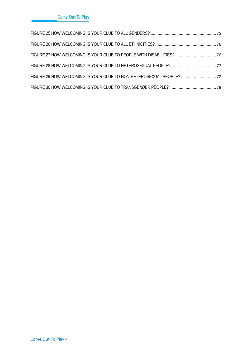| FIGURE 29 HOW WELCOMING IS YOUR CLUB TO NON-HETEROSEXUAL PEOPLE?  78 |  |
|----------------------------------------------------------------------|--|
|                                                                      |  |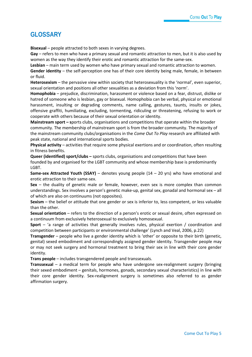# <span id="page-6-0"></span>**GLOSSARY**

**Bisexual** – people attracted to both sexes in varying degrees.

**Gay** – refers to men who have a primary sexual and romantic attraction to men, but it is also used by women as the way they identify their erotic and romantic attraction for the same-sex.

**Lesbian** – main term used by women who have primary sexual and romantic attraction to women.

**Gender identity** – the self-perception one has of their core identity being male, female, in between or fluid.

**Heterosexism** – the pervasive view within society that heterosexuality is the 'normal', even superior, sexual orientation and positions all other sexualities as a deviation from this 'norm'.

**Homophobia** – prejudice, discrimination, harassment or violence based on a fear, distrust, dislike or hatred of someone who is lesbian, gay or bisexual. Homophobia can be verbal, physical or emotional harassment, insulting or degrading comments, name calling, gestures, taunts, insults or jokes, offensive graffiti, humiliating, excluding, tormenting, ridiculing or threatening, refusing to work or cooperate with others because of their sexual orientation or identity.

**Mainstream sport – s**ports clubs, organisations and competitions that operate within the broader community. The membership of mainstream sport is from the broader community. The majority of the mainstream community clubs/organisations in the *Come Out To Play* research are affiliated with peak state, national and international sports bodies.

**Physical activity** – activities that require some physical exertions and or coordination, often resulting in fitness benefits.

**Queer (identified) sport/clubs –** sports clubs, organisations and competitions that have been founded by and organised for the LGBT community and whose membership base is predominantly LGBT.

**Same-sex Attracted Youth (SSAY)** – denotes young people (14 – 20 yrs) who have emotional and erotic attraction to their same-sex.

**Sex** – the duality of genetic male or female, however, even sex is more complex than common understandings. Sex involves a person's genetic make-up, genital sex, gonadal and hormonal sex – all of which are also on continuums (not opposites).

**Sexism** – the belief or attitude that one gender or sex is inferior to, less competent, or less valuable than the other.

**Sexual orientation** – refers to the direction of a person's erotic or sexual desire, often expressed on a continuum from exclusively heterosexual to exclusively homosexual.

**Sport** – 'a range of activities that generally involves rules, physical exertion / coordination and competition between participants or environmental challenge' (Lynch and Veal, 2006, p.22)

**Transgender** – people who live a gender identity which is 'other' or opposite to their birth (genetic, genital) sexed embodiment and correspondingly assigned gender identity. Transgender people may or may not seek surgery and hormonal treatment to bring their sex in line with their core gender identity.

**Trans people** – includes transgendered people and transsexuals.

**Transsexual** – a medical term for people who have undergone sex-realignment surgery (bringing their sexed embodiment – genitals, hormones, gonads, secondary sexual characteristics) in line with their core gender identity. Sex-realignment surgery is sometimes also referred to as gender affirmation surgery.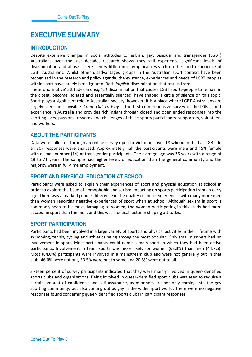# <span id="page-7-0"></span>**EXECUTIVE SUMMARY**

## **INTRODUCTION**

Despite extensive changes in social attitudes to lesbian, gay, bisexual and transgender (LGBT) Australians over the last decade, research shows they still experience significant levels of discrimination and abuse. There is very little direct empirical research on the sport experience of LGBT Australians. Whilst other disadvantaged groups in the Australian sport context have been recognised in the research and policy agenda, the existence, experiences and needs of LGBT peoples within sport have largely been ignored. Both *implicit* discrimination that results from

'heteronormative' attitudes and *explicit* discrimination that causes LGBT sports-people to remain in the closet, become isolated and essentially silenced, have shaped a circle of silence on this topic. Sport plays a significant role in Australian society; however, it is a place where LGBT Australians are largely silent and invisible. *Come Out To Play* is the first comprehensive survey of the LGBT sport experience in Australia and provides rich insight through closed and open ended responses into the sporting lives, passions, rewards and challenges of these sports participants, supporters, volunteers and workers.

## **ABOUT THE PARTICIPANTS**

Data were collected through an online survey open to Victorians over 18 who identified as LGBT. In all 307 responses were analysed. Approximately half the participants were male and 45% female with a small number (14) of transgender participants. The average age was 36 years with a range of 18 to 71 years. The sample had higher levels of education than the general community and the majority were in full-time employment.

## **SPORT AND PHYSICAL EDUCATION AT SCHOOL**

Participants were asked to explain their experiences of sport and physical education at school in order to explore the issue of homophobia and sexism impacting on sports participation from an early age. There was a marked gender difference in the quality of these experiences with many more men than women reporting negative experiences of sport when at school. Although sexism in sport is commonly seen to be most damaging to women, the women participating in this study had more success in sport than the men, and this was a critical factor in shaping attitudes.

## **SPORT PARTICIPATION**

Participants had been involved in a large variety of sports and physical activities in their lifetime with swimming, tennis, cycling and athletics being among the most popular. Only small numbers had no involvement in sport. Most participants could name a main sport in which they had been active participants. Involvement in team sports was more likely for women (63.3%) than men (44.7%). Most (84.0%) participants were involved in a mainstream club and were not generally out in that club- 46.0% were not out, 33.5% were out to some and 20.5% were out to all.

Sixteen percent of survey participants indicated that they were mainly involved in queer-identified sports clubs and organisations. Being involved in queer-identified sport clubs was seen to require a certain amount of confidence and self assurance, as members are not only coming into the gay sporting community, but also coming out as gay in the wider sport world. There were no negative responses found concerning queer-identified sports clubs in participant responses.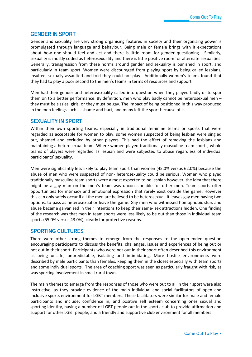## **GENDER IN SPORT**

Gender and sexuality are very strong organising features in society and their organising power is promulgated through language and behaviour. Being male or female brings with it expectations about how one should feel and act and there is little room for gender questioning. Similarly, sexuality is mostly coded as heterosexuality and there is little positive room for alternate sexualities. Generally, transgression from these norms around gender and sexuality is punished in sport, and particularly in team sport. Women were discouraged from playing sport by being called lesbians, insulted, sexually assaulted and told they could not play. Additionally women's teams found that they had to play a poor second to the men's teams in terms of resources and support.

Men had their gender and heterosexuality called into question when they played badly or to spur them on to a better performance. By definition, men who play badly cannot be heterosexual men – they must be sissies, girls, or they must be gay. The impact of being positioned in this way produced in the men feelings such as shame and hurt, and many left the sport because of it.

## **SEXUALITY IN SPORT**

Within their own sporting teams, especially in traditional feminine teams or sports that were regarded as acceptable for women to play, some women suspected of being lesbian were singled out, shamed and excluded by other players. This had the effect of removing the lesbians and maintaining a heterosexual team. Where women played traditionally masculine team sports, whole teams of players were regarded as lesbian and were subjected to abuse regardless of individual participants' sexuality.

Men were significantly less likely to play team sport than women (45.0% versus 62.0%) because the abuse of men who were suspected of non- heterosexuality could be serious. Women who played traditionally masculine team sports were almost expected to be lesbian however, the idea that there might be a gay man on the men's team was unconscionable for other men. Team sports offer opportunities for intimacy and emotional expression that rarely exist outside the game. However this can only safely occur if all the men are believed to be heterosexual. It leaves gay men having two options, to pass as heterosexual or leave the game. Gay men who witnessed homophobic slurs and abuse became galvanised in their intentions to keep their same- sex attractions hidden. One finding of the research was that men in team sports were less likely to be out than those in individual team sports (55.0% versus 43.0%), clearly for protective reasons.

## **SPORTING CULTURES**

There were other strong themes to emerge from the responses to the open-ended question encouraging participants to discuss the benefits, challenges, issues and experiences of being out or not out in their sport. Participants who were not out in their sport often described this environment as being unsafe, unpredictable, isolating and intimidating. More hostile environments were described by male participants than females, keeping them in the closet especially with team sports and some individual sports. The area of coaching sport was seen as particularly fraught with risk, as was sporting involvement in small rural towns.

The main themes to emerge from the responses of those who were out to all in their sport were also instructive, as they provide evidence of the main individual and social facilitators of open and inclusive sports environment for LGBT members. These facilitators were similar for male and female participants and include: confidence in, and positive self esteem concerning ones sexual and sporting identity, having a number of LGBT people out in the sports club to provide affirmation and support for other LGBT people, and a friendly and supportive club environment for all members.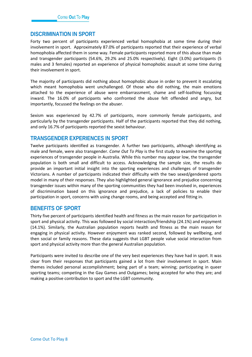## **DISCRIMINATION IN SPORT**

Forty two percent of participants experienced verbal homophobia at some time during their involvement in sport. Approximately 87.0% of participants reported that their experience of verbal homophobia affected them in some way. Female participants reported more of this abuse than male and transgender participants (54.6%, 29.2% and 25.0% respectively). Eight (3.0%) participants (5 males and 3 females) reported an experience of physical homophobic assault at some time during their involvement in sport.

The majority of participants did nothing about homophobic abuse in order to prevent it escalating which meant homophobia went unchallenged. Of those who did nothing, the main emotions attached to the experience of abuse were embarrassment, shame and self-loathing focussing inward. The 16.0% of participants who confronted the abuse felt offended and angry, but importantly, focussed the feelings on the abuser.

Sexism was experienced by 42.7% of participants, more commonly female participants, and particularly by the transgender participants. Half of the participants reported that they did nothing, and only 16.7% of participants reported the sexist behaviour.

## **TRANSGENDER EXPERIENCES IN SPORT**

Twelve participants identified as transgender. A further two participants, although identifying as male and female, were also transgender. *Come Out To Play* is the first study to examine the sporting experiences of transgender people in Australia. While this number may appear low, the transgender population is both small and difficult to access. Acknowledging the sample size, the results do provide an important initial insight into the sporting experiences and challenges of transgender Victorians. A number of participants indicated their difficulty with the two sexed/gendered sports model in many of their responses. They also highlighted general ignorance and prejudice concerning transgender issues within many of the sporting communities they had been involved in, experiences of discrimination based on this ignorance and prejudice, a lack of policies to enable their participation in sport, concerns with using change rooms, and being accepted and fitting in.

## **BENEFITS OF SPORT**

Thirty five percent of participants identified health and fitness as the main reason for participation in sport and physical activity. This was followed by social interaction/friendship (24.1%) and enjoyment (14.1%). Similarly, the Australian population reports health and fitness as the main reason for engaging in physical activity. However enjoyment was ranked second, followed by wellbeing, and then social or family reasons. These data suggests that LGBT people value social interaction from sport and physical activity more than the general Australian population.

Participants were invited to describe one of the very best experiences they have had in sport. It was clear from their responses that participants gained a lot from their involvement in sport. Main themes included personal accomplishment; being part of a team; winning; participating in queer sporting teams; competing in the Gay Games and Outgames; being accepted for who they are; and making a positive contribution to sport and the LGBT community.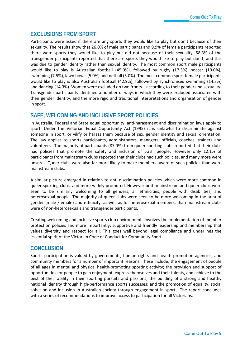## **EXCLUSIONS FROM SPORT**

Participants were asked if there are any sports they would like to play but don't because of their sexuality. The results show that 26.0% of male participants and 9.9% of female participants reported there were sports they would like to play but did not because of their sexuality. 58.3% of the transgender participants reported that there are sports they would like to play but don't, and this was due to gender identity rather than sexual identity. The most common sport male participants would like to play is Australian football (45.0%), followed by rugby (17.5%), soccer (10.0%), swimming (7.5%), lawn bowls (5.0%) and netball (5.0%). The most common sport female participants would like to play is also Australian football (42.9%), followed by synchronised swimming (14.3%) and dancing (14.3%). Women were excluded on two fronts – according to their gender and sexuality. Transgender participants identified a number of ways in which they were excluded associated with their gender identity, and the more rigid and traditional interpretations and organisation of gender in sport.

## **SAFE, WELCOMING AND INCLUSIVE SPORT POLICIES**

In Australia, Federal and State equal opportunity, anti-harassment and discrimination laws apply to sport. Under the Victorian Equal Opportunity Act (1995) it is unlawful to discriminate against someone in sport, or vilify or harass them because of sex, gender identity and sexual orientation. The law applies to sports participants, administrators, managers, officials, coaches, trainers and volunteers. The majority of participants (87.0%) from queer sporting clubs reported that their clubs had policies that promote the safety and inclusion of LGBT people. However only 12.1% of participants from mainstream clubs reported that their clubs had such policies, and many more were unsure. Queer clubs were also far more likely to make members aware of such policies than were mainstream clubs.

A similar picture emerged in relation to anti-discrimination policies which were more common in queer sporting clubs, and more widely promoted. However both mainstream and queer clubs were seen to be similarly welcoming to all genders, all ethnicities, people with disabilities, and heterosexual people. The majority of queer clubs were seen to be more welcoming in the area of gender (male /female) and ethnicity, as well as for heterosexual members, than mainstream clubs were of non-heterosexuals and transgender participants.

Creating welcoming and inclusive sports club environments involves the implementation of member protection policies and more importantly, supportive and friendly leadership and membership that values diversity and respect for all. This goes well beyond legal compliance and underlines the essential spirit of the Victorian Code of Conduct for Community Sport.

## **CONCLUSION**

Sports participation is valued by governments, human rights and health promotion agencies, and community members for a number of important reasons. These include; the engagement of people of all ages in mental and physical health-promoting sporting activity; the provision and support of opportunities for people to gain enjoyment, express themselves and their talents, and achieve to the best of their ability in their sporting pursuits and passions; the building of a strong and healthy national identity through high-performance sports successes; and the promotion of equality, social cohesion and inclusion in Australian society through engagement in sport. The report concludes with a series of recommendations to improve access to participation for all Victorians.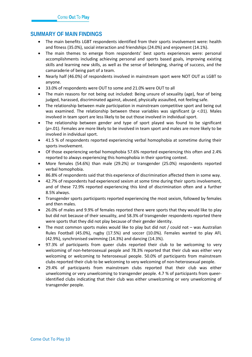## **SUMMARY OF MAIN FINDINGS**

- The main benefits LGBT respondents identified from their sports involvement were: health and fitness (35.0%), social interaction and friendships (24.0%) and enjoyment (14.1%).
- The main themes to emerge from respondents' best sports experiences were: personal accomplishments including achieving personal and sports based goals, improving existing skills and learning new skills, as well as the sense of belonging, sharing of success, and the camaraderie of being part of a team.
- Nearly half (46.0%) of respondents involved in mainstream sport were NOT OUT as LGBT to anyone.
- 33.0% of respondents were OUT to some and 21.0% were OUT to all
- The main reasons for not being out included: Being unsure of sexuality (age), fear of being judged, harassed, discriminated against, abused, physically assaulted, not feeling safe.
- The relationship between male participation in mainstream competitive sport and being out was examined. The relationship between these variables was significant (*p* <.01). Males involved in team sport are less likely to be out those involved in individual sport.
- The relationship between gender and type of sport played was found to be significant (*p*=.01). Females are more likely to be involved in team sport and males are more likely to be involved in individual sport.
- 41.5 % of respondents reported experiencing verbal homophobia at sometime during their sports involvement.
- Of those experiencing verbal homophobia 57.6% reported experiencing this often and 2.4% reported to always experiencing this homophobia in their sporting context.
- More females (54.6%) than male (29.2%) or transgender (25.0%) respondents reported verbal homophobia.
- 86.8% of respondents said that this experience of discrimination affected them in some way.
- 42.7% of respondents had experienced sexism at some time during their sports involvement, and of these 72.9% reported experiencing this kind of discrimination often and a further 8.5% always.
- Transgender sports participants reported experiencing the most sexism, followed by females and then males.
- 26.0% of males and 9.9% of females reported there were sports that they would like to play but did not because of their sexuality, and 58.3% of transgender respondents reported there were sports that they did not play because of their gender identity.
- The most common sports males would like to play but did not / could not was Australian Rules Football (45.0%), rugby (17.5%) and soccer (10.0%). Females wanted to play AFL (42.9%), synchronised swimming (14.3%) and dancing (14.3%).
- 97.3% of participants from queer clubs reported their club to be welcoming to very welcoming of non-heterosexual people and 78.3% reported that their club was either very welcoming or welcoming to heterosexual people. 50.0% of participants from mainstream clubs reported their club to be welcoming to very welcoming of non-heterosexual people.
- 29.4% of participants from mainstream clubs reported that their club was either unwelcoming or very unwelcoming to transgender people. 4.7 % of participants from queeridentified clubs indicating that their club was either unwelcoming or very unwelcoming of transgender people.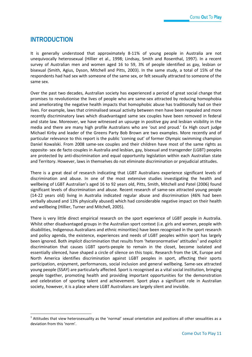# <span id="page-12-0"></span>**INTRODUCTION**

It is generally understood that approximately 8-11% of young people in Australia are not unequivocally heterosexual (Hillier et al., 1998; Lindsay, Smith and Rosenthal, 1997). In a recent survey of Australian men and women aged 16 to 59, 3% of people identified as gay, lesbian or bisexual (Smith, Agius, Dyson, Mitchell and Pitts, 2003). In the same study, a total of 15% of the respondents had had sex with someone of the same sex, or felt sexually attracted to someone of the same sex.

Over the past two decades, Australian society has experienced a period of great social change that promises to revolutionise the lives of people who are same-sex attracted by reducing homophobia and ameliorating the negative health impacts that homophobic abuse has traditionally had on their lives. For example, laws that criminalised sexual activity between men have been repealed and more recently discriminatory laws which disadvantaged same sex couples have been removed in federal and state law. Moreover, we have witnessed an upsurge in positive gay and lesbian visibility in the media and there are many high profile Australians who are 'out and proud.' Ex High court judge Michael Kirby and leader of the Greens Party Bob Brown are two examples. More recently and of particular relevance to this report is the public 'coming out' of former Olympic swimming champion Daniel Kowalski. From 2008 same-sex couples and their children have most of the same rights as opposite- sex de facto couples in Australia and lesbian, gay, bisexual and transgender (LGBT) peoples are protected by anti-discrimination and equal opportunity legislation within each Australian state and Territory. However, laws in themselves do not eliminate discrimination or prejudicial attitudes.

There is a great deal of research indicating that LGBT Australians experience significant levels of discrimination and abuse. In one of the most extensive studies investigating the health and wellbeing of LGBT Australian's aged 16 to 92 years old, Pitts, Smith, Mitchell and Patel (2006) found significant levels of discrimination and abuse. Recent research of same-sex attracted young people (14-22 years old) living in Australia indicated regular abuse and discrimination (46% had been verbally abused and 13% physically abused) which had considerable negative impact on their health and wellbeing (Hillier, Turner and Mitchell, 2005).

There is very little direct empirical research on the sport experience of LGBT people in Australia. Whilst other disadvantaged groups in the Australian sport context (i.e. girls and women, people with disabilities, Indigenous Australians and ethnic minorities) have been recognised in the sport research and policy agenda, the existence, experiences and needs of LGBT peoples within sport has largely been ignored. Both *implicit* discrimination that results from 'heteronormative' attitudes<sup>[1](#page-12-1)</sup> and *explicit* discrimination that causes LGBT sports-people to remain in the closet, become isolated and essentially silenced, have shaped a circle of silence on this topic. Research from the UK, Europe and North America identifies discrimination against LGBT peoples in sport, affecting their sports participation, enjoyment, performances, social inclusion and general wellbeing. Same-sex attracted young people (SSAY) are particularly affected. Sport is recognised as a vital social institution, bringing people together, promoting health and providing important opportunities for the demonstration and celebration of sporting talent and achievement. Sport plays a significant role in Australian society, however, it is a place where LGBT Australians are largely silent and invisible.

<span id="page-12-1"></span> $1$  Attitudes that view heterosexuality as the 'normal' sexual orientation and positions all other sexualities as a deviation from this 'norm'.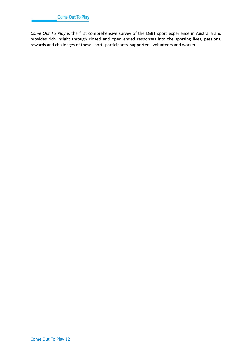*Come Out To Play* is the first comprehensive survey of the LGBT sport experience in Australia and provides rich insight through closed and open ended responses into the sporting lives, passions, rewards and challenges of these sports participants, supporters, volunteers and workers.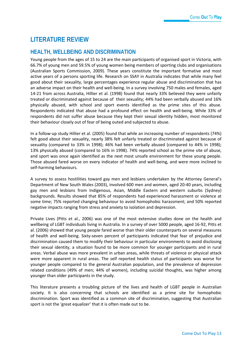# <span id="page-14-0"></span>**LITERATURE REVIEW**

## **HEALTH, WELLBEING AND DISCRIMINATION**

Young people from the ages of 15 to 24 are the main participants of organised sport in Victoria, with 66.7% of young men and 59.5% of young women being members of sporting clubs and organisations (Australian Sports Commission, 2009). These years constitute the important formative and most active years of a persons sporting life. Research on SSAY in Australia indicates that while many feel good about their sexuality, large percentages experience regular abuse and discrimination that has an adverse impact on their health and well-being. In a survey involving 750 males and females, aged 14-21 from across Australia, Hillier et al. (1998) found that nearly 33% believed they were unfairly treated or discriminated against because of their sexuality; 44% had been verbally abused and 16% physically abused, with school and sport events identified as the prime sites of this abuse. Respondents indicated that abuse had a profound effect on health and well-being. While 33% of respondents did not suffer abuse because they kept their sexual identity hidden, most monitored their behaviour closely out of fear of being outed and subjected to abuse.

In a follow-up study Hillier et al. (2005) found that while an increasing number of respondents (74%) felt good about their sexuality, nearly 38% felt unfairly treated or discriminated against because of sexuality (compared to 33% in 1998); 46% had been verbally abused (compared to 44% in 1998); 13% physically abused (compared to 16% in 1998). 74% reported school as the prime site of abuse, and sport was once again identified as the next most unsafe environment for these young people. Those abused fared worse on every indicator of health and well-being, and were more inclined to self-harming behaviours.

A survey to assess hostilities toward gay men and lesbians undertaken by the Attorney General's Department of New South Wales (2003), involved 600 men and women, aged 20-40 years, including gay men and lesbians from Indigenous, Asian, Middle Eastern and western suburbs (Sydney) backgrounds. Results showed that 85% of respondents had experienced harassment or violence at some time; 75% reported changing behaviour to avoid homophobic harassment; and 50% reported negative impacts ranging from stress and anxiety to isolation and depression.

Private Lives (Pitts et al., 2006) was one of the most extensive studies done on the health and wellbeing of LGBT individuals living in Australia. In a survey of over 5000 people, aged 16-92, Pitts et al. (2006) showed that young people fared worse than their older counterparts on several measures of health and well-being. Sixty-seven percent of participants indicated that fear of prejudice and discrimination caused them to modify their behaviour in particular environments to avoid disclosing their sexual identity, a situation found to be more common for younger participants and in rural areas. Verbal abuse was more prevalent in urban areas, while threats of violence or physical attack were more apparent in rural areas. The self reported health status of participants was worse for younger people compared to the general Australian population, and the prevalence of depression related conditions (49% of men; 44% of women), including suicidal thoughts, was higher among younger than older participants in the study.

This literature presents a troubling picture of the lives and health of LGBT people in Australian society. It is also concerning that schools are identified as a prime site for homophobic discrimination. Sport was identified as a common site of discrimination, suggesting that Australian sport is not the 'great equalizer' that it is often made out to be.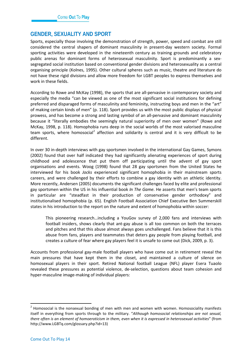## **GENDER, SEXUALITY AND SPORT**

Sports, especially those involving the demonstration of strength, power, speed and combat are still considered the central shapers of dominant masculinity in present-day western society. Formal sporting activities were developed in the nineteenth century as training grounds and celebratory public arenas for dominant forms of heterosexual masculinity. Sport is predominantly a sexsegregated social institution based on conventional gender divisions and heterosexuality as a central organising principle (Kolnes, 1995). Other cultural spheres such as music, theatre and literature do not have these rigid divisions and allow more freedom for LGBT peoples to express themselves and work in these fields.

According to Rowe and McKay (1998), the sports that are all-pervasive in contemporary society and especially the media "can be viewed as one of the most significant social institutions for defining preferred and disparaged forms of masculinity and femininity, instructing boys and men in the "art" of making certain kinds of men" (p. 118). Sport provides us with the most public displays of physical prowess, and has become a strong and lasting symbol of an all-pervasive and dominant masculinity because it "literally embodies the seemingly natural superiority of men over women" (Rowe and McKay, 1998, p. 118). Homophobia runs deep in the social worlds of the most valorised masculine team sports, where homosocial<sup>[2](#page-15-0)</sup> affection and solidarity is central and it is very difficult to be different.

In over 30 in-depth interviews with gay sportsmen involved in the international Gay Games, Symons (2002) found that over half indicated they had significantly alienating experiences of sport during childhood and adolescence that put them off participating until the advent of gay sport organisations and events. Woog (1998) found that 28 gay sportsmen from the United States he interviewed for his book *Jocks* experienced significant homophobia in their mainstream sports careers, and were challenged by their efforts to combine a gay identity with an athletic identity. More recently, Andersen (2005) documents the significant challenges faced by elite and professional gay sportsmen within the US in his influential book *In The Game.* He asserts that men's team sports in particular are "steadfast in their production of conservative gender orthodoxy" and institutionalised homophobia (p. 65). English Football Association Chief Executive Ben Summerskill states in his introduction to the report on the nature and extent of homophobia within soccer:

This pioneering research…including a YouGov survey of 2,000 fans and interviews with football insiders, shows clearly that ant-gay abuse is all too common on both the terraces and pitches and that this abuse almost always goes unchallenged. Fans believe that it is this abuse from fans, players and teammates that deters gay people from playing football, and creates a culture of fear where gay players feel it is unsafe to come out (Dick, 2009, p. 3).

Accounts from professional gay-male football players who have come out in retirement reveal the main pressures that have kept them in the closet, and maintained a culture of silence on homosexual players in their sport. Retired National football League (NFL) player Esera Tuaolo revealed these pressures as potential violence, de-selection, questions about team cohesion and hyper-masculine image-making of individual players:

<span id="page-15-0"></span> $2$  Homosocial is the nonsexual bonding of men with men and women with women. Homosociality manifests itself in everything from sports through to the military. "*Although homosocial relationships are not sexual, there often is an element of homoeroticism in them, even when it is expressed in heterosexual activities*" (from http://www.LGBTq.com/glossary.php?id=13)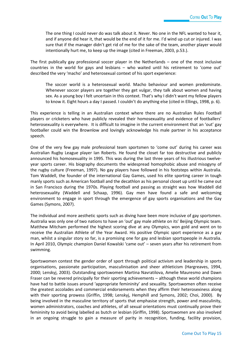The one thing I could never do was talk about it. Never. No one in the NFL wanted to hear it, and if anyone did hear it, that would be the end of it for me. I'd wind up cut or injured. I was sure that if the manager didn't get rid of me for the sake of the team, another player would intentionally hurt me, to keep up the image (cited in Freeman, 2003, p.53.).

The first publically gay professional soccer player in the Netherlands – one of the most inclusive countries in the world for gays and lesbians – who waited until his retirement to 'come out' described the very 'macho' and heterosexual context of his sport experience:

The soccer world is a heterosexual world. Macho behaviour and women predominate. Whenever soccer players are together they get vulgar, they talk about women and having sex. As a young boy I felt uncertain in this context. That's why I didn't want my fellow players to know it. Eight hours a day I passed. I couldn't do anything else (cited in Ellings, 1998, p. 6).

This experience is telling in an Australian context where there are no Australian Rules Football players or cricketers who have publicly revealed their homosexuality and evidence of footballers' heterosexuality is everywhere. It is difficult to imagine in the current environment that an 'out' gay footballer could win the Brownlow and lovingly acknowledge his male partner in his acceptance speech.

One of the very few gay male professional team sportsmen to 'come out' during his career was Australian Rugby League player Ian Roberts. He found the closet far too destructive and publicly announced his homosexuality in 1995. This was during the last three years of his illustrious twelveyear sports career. His biography documents the widespread homophobic abuse and misogyny of the rugby culture (Freeman, 1997). No gay players have followed in his footsteps within Australia. Tom Waddell, the founder of the international Gay Games, used his elite sporting career in tough manly sports such as American football and the decathlon as his personal closet up until he came out in San Francisco during the 1970s. Playing football and passing as straight was how Waddell did heterosexuality (Waddell and Schaap, 1996). Gay men have found a safe and welcoming environment to engage in sport through the emergence of gay sports organisations and the Gay Games (Symons, 2007).

The individual and more aesthetic sports such as diving have been more inclusive of gay sportsmen. Australia was only one of two nations to have an 'out' gay male athlete on its' Beijing Olympic team. Matthew Mitcham performed the highest scoring dive at any Olympics, won gold and went on to receive the Australian Athlete of the Year Award. His positive Olympic sport experience as a gay man, whilst a singular story so far, is a promising one for gay and lesbian sportspeople in Australia. In April 2010, Olympic champion Daniel Kowalski 'came out' – seven years after his retirement from swimming.

Sportswomen contest the gender order of sport through political activism and leadership in sports organisations, passionate participation, masculinisation and sheer athleticism (Hargreaves, 1994, 2000; Lenskyj, 2003). Outstanding sportswomen Martina Navratilova, Amelie Mauresmo and Dawn Fraser can be revered principally for their sporting achievements – although these world champions have had to battle issues around 'appropriate femininity' and sexuality. Sportswomen often receive the greatest accolades and commercial endorsements when they affirm their heterosexiness along with their sporting prowess (Griffin, 1998; Lenskyj, Hemphill and Symons, 2002; Choi, 2000). By being involved in the masculine territory of sports that emphasise strength, power and masculinity, women administrators, coaches and athletes, of all sexual orientations must continually prove their femininity to avoid being labelled as butch or lesbian (Griffin, 1998). Sportswomen are also involved in an ongoing struggle to gain a measure of parity in recognition, funding, facility provision,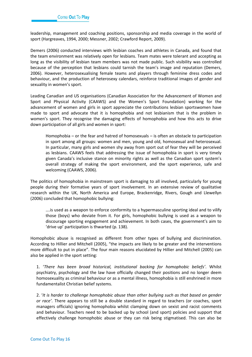leadership, management and coaching positions, sponsorship and media coverage in the world of sport (Hargreaves, 1994, 2000; Messner, 2002; Crawford Report, 2009).

Demers (2006) conducted interviews with lesbian coaches and athletes in Canada, and found that the team environment was relatively open for lesbians. Team mates were tolerant and accepting as long as the visibility of lesbian team members was not made public. Such visibility was controlled because of the perception that lesbians could tarnish the team's image and reputation (Demers, 2006). However, heterosexualising female teams and players through feminine dress codes and behaviour, and the production of heterosexy calendars, reinforce traditional images of gender and sexuality in women's sport.

Leading Canadian and US organisations (Canadian Association for the Advancement of Women and Sport and Physical Activity (CAAWS) and the Women's Sport Foundation) working for the advancement of women and girls in sport appreciate the contributions lesbian sportswomen have made to sport and advocate that it is homophobia and not lesbianism that is the problem in women's sport. They recognise the damaging effects of homophobia and how this acts to drive down participation of all girls and women in sport:

Homophobia – or the fear and hatred of homosexuals – is often an obstacle to participation in sport among all groups: women and men, young and old, homosexual and heterosexual. In particular, many girls and women shy away from sport out of fear they will be perceived as lesbians. CAAWS feels that addressing the issue of homophobia in sport is very timely given Canada's inclusive stance on minority rights as well as the Canadian sport system's overall strategy of making the sport environment, and the sport experience, safe and welcoming (CAAWS, 2006).

The politics of homophobia in mainstream sport is damaging to all involved, particularly for young people during their formative years of sport involvement. In an extensive review of qualitative research within the UK, North America and Europe, Brackenridge, Rivers, Gough and Llewellyn (2006) concluded that homophobic bullying:

….is used as a weapon to enforce conformity to a hypermasculine sporting ideal and to vilify those (boys) who deviate from it. For girls, homophobic bullying is used as a weapon to discourage sporting engagement and achievement. In both cases, the government's aim to 'drive up' participation is thwarted (p. 138).

Homophobic abuse is recognised as different from other types of bullying and discrimination. According to Hillier and Mitchell (2005), "the impacts are likely to be greater and the interventions more difficult to put in place". The four main reasons elucidated by Hillier and Mitchell (2005) can also be applied in the sport setting:

1. '*There has been broad historical, institutional backing for homophobic beliefs'*. Whilst psychiatry, psychology and the law have officially changed their positions and no longer deem homosexuality as criminal behaviour or as a mental illness, homophobia is still enshrined in more fundamentalist Christian belief systems.

2. '*It is harder to challenge homophobic abuse than other bullying such as that based on gender or race'*. There appears to still be a double standard in regard to teachers (or coaches, sport managers officials) ignoring homophobia whilst clamping down on sexist and racist comments and behaviour. Teachers need to be backed up by school (and sport) policies and support that effectively challenge homophobic abuse or they can risk being stigmatised. This can also be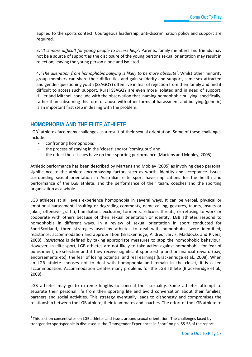applied to the sports context. Courageous leadership, anti-discrimination policy and support are required.

3. '*It is more difficult for young people to access help*': Parents, family members and friends may not be a source of support as the disclosure of the young persons sexual orientation may result in rejection, leaving the young person alone and isolated.

4. '*The alienation from homophobic bullying is likely to be more absolute'*: Whilst other minority group members can share their difficulties and gain solidarity and support, same-sex attracted and gender-questioning youth (SSAGQY) often live in fear of rejection from their family and find it difficult to access such support. Rural SSAGQY are even more isolated and in need of support. Hillier and Mitchell conclude with the observation that 'naming homophobic bullying' specifically, rather than subsuming this form of abuse with other forms of harassment and bullying (generic) is an important first step in dealing with the problem.

## **HOMOPHOBIA AND THE ELITE ATHLETE**

 $LGB<sup>3</sup>$  $LGB<sup>3</sup>$  $LGB<sup>3</sup>$  athletes face many challenges as a result of their sexual orientation. Some of these challenges include:

- confronting homophobia;
- the process of staying in the 'closet' and/or 'coming out' and;
- the effect these issues have on their sporting performance (Martens and Mobley, 2005).

Athletic performance has been described by Martens and Mobley (2005) as involving deep personal significance to the athlete encompassing factors such as worth, identity and acceptance. Issues surrounding sexual orientation in Australian elite sport have implications for the health and performance of the LGB athlete, and the performance of their team, coaches and the sporting organisation as a whole.

LGB athletes at all levels experience homophobia in several ways. It can be verbal, physical or emotional harassment, insulting or degrading comments, name calling, gestures, taunts, insults or jokes, offensive graffiti, humiliation, exclusion, torments, ridicule, threats, or refusing to work or cooperate with others because of their sexual orientation or identity. LGB athletes respond to homophobia in different ways. In a review of sexual orientation in sport conducted for SportScotland, three strategies used by athletes to deal with homophobia were identified; resistance, accommodation and appropriation (Brackenridge, Alldred, Jarvis, Maddocks and Rivers, 2008). *Resistance* is defined by taking appropriate measures to stop the homophobic behaviour. However, in elite sport, LGB athletes are not likely to take action against homophobia for fear of punishment, de-selection and if they receive significant sponsorship and or financial reward (pay, endorsements etc), the fear of losing potential and real earnings (Brackenridge et al., 2008). When an LGB athlete chooses not to deal with homophobia and remain in the closet, it is called accommodation. Accommodation creates many problems for the LGB athlete (Brackenridge et al., 2008).

LGB athletes may go to extreme lengths to conceal their sexuality. Some athletes attempt to separate their personal life from their sporting life and avoid conversation about their families, partners and social activities. This strategy eventually leads to dishonesty and compromises the relationship between the LGB athlete, their teammates and coaches. The effort of the LGB athlete to

<span id="page-18-0"></span> $3$  This section concentrates on LGB athletes and issues around sexual orientation. The challenges faced by transgender sportspeople in discussed in the 'Transgender Experiences in Sport' on pp. 55-58 of the report.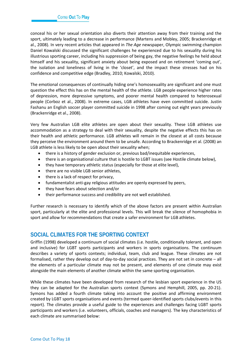conceal his or her sexual orientation also diverts their attention away from their training and the sport, ultimately leading to a decrease in performance (Martens and Mobley, 2005; Brackenridge et al., 2008). In very recent articles that appeared in *The Age* newspaper, Olympic swimming champion Daniel Kowalski discussed the significant challenges he experienced due to his sexuality during his illustrious sporting career, including his suppression of being gay, the negative feelings he held about himself and his sexuality, significant anxiety about being exposed and on retirement 'coming out', the isolation and loneliness of living in the 'closet', and the impact these stresses had on his confidence and competitive edge (Bradley, 2010; Kowalski, 2010).

The emotional consequences of continually hiding one's homosexuality are significant and one must question the effect this has on the mental health of the athlete. LGB people experience higher rates of depression, more depressive symptoms, and poorer mental health compared to heterosexual people (Corboz et al., 2008). In extreme cases, LGB athletes have even committed suicide. Justin Fashanu an English soccer player committed suicide in 1998 after coming out eight years previously (Brackenridge et al., 2008).

Very few Australian LGB elite athletes are open about their sexuality. These LGB athletes use accommodation as a strategy to deal with their sexuality, despite the negative effects this has on their health and athletic performance. LGB athletes will remain in the closest at all costs because they perceive the environment around them to be unsafe. According to Brackenridge et al. (2008) an LGB athlete is less likely to be open about their sexuality when;

- there is a history of gender exclusion or, previous bad/inequitable experiences,
- there is an organisational culture that is hostile to LGBT issues (see Hostile climate below),
- they have temporary athletic status (especially for those at elite level),
- there are no visible LGB senior athletes,
- there is a lack of respect for privacy,
- fundamentalist anti-gay religious attitudes are openly expressed by peers,
- they have fears about selection and/or
- their performance success and credibility are not well established.

Further research is necessary to identify which of the above factors are present within Australian sport, particularly at the elite and professional levels. This will break the silence of homophobia in sport and allow for recommendations that create a safer environment for LGB athletes.

## **SOCIAL CLIMATES FOR THE SPORTING CONTEXT**

Griffin (1998) developed a continuum of social climates (i.e. hostile, conditionally tolerant, and open and inclusive) for LGBT sports participants and workers in sports organisations. The continuum describes a variety of sports contexts; individual, team, club and league. These climates are not formalised, rather they develop out of day-to-day social practices. They are not set in concrete – all the elements of a particular climate may not be present, and elements of one climate may exist alongside the main elements of another climate within the same sporting organisation.

While these climates have been developed from research of the lesbian sport experience in the US they can be adapted for the Australian sports context (Symons and Hemphill, 2005, pp. 20-21). Symons has added a fourth climate taking into account the positive and affirming environment created by LGBT sports organisations and events (termed queer-identified sports clubs/events in this report). The climates provide a useful guide to the experiences and challenges facing LGBT sports participants and workers (i.e. volunteers, officials, coaches and managers). The key characteristics of each climate are summarised below: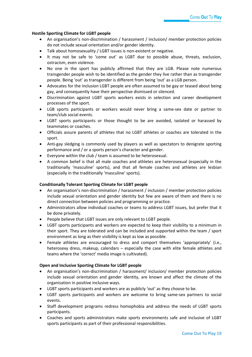#### **Hostile Sporting Climate for LGBT people**

- An organisation's non-discrimination / harassment / inclusion/ member protection policies do not include sexual orientation and/or gender identity.
- Talk about homosexuality / LGBT issues is non-existent or negative.
- It may not be safe to 'come out' as LGBT due to possible abuse, threats, exclusion, ostracism, even violence.
- No one in the sport has publicly affirmed that they are LGB. Please note numerous transgender people wish to be identified as the gender they live rather than as transgender people. Being 'out' as transgender is different from being 'out' as a LGB person.
- Advocates for the inclusion LGBT people are often assumed to be gay or teased about being gay, and consequently have their perspective dismissed or silenced.
- Discrimination against LGBT sports workers exists in selection and career development processes of the sport.
- LGB sports participants or workers would never bring a same-sex date or partner to team/club social events.
- LGBT sports participants or those thought to be are avoided, isolated or harassed by teammates or coaches.
- Officials assure parents of athletes that no LGBT athletes or coaches are tolerated in the sport.
- Anti-gay sledging is commonly used by players as well as spectators to denigrate sporting performance and / or a sports person's character and gender.
- Everyone within the club / team is assumed to be heterosexual.
- A common belief is that all male coaches and athletes are heterosexual (especially in the traditionally 'masculine' sports), and that all female coaches and athletes are lesbian (especially in the traditionally 'masculine' sports).

#### **Conditionally Tolerant Sporting Climate for LGBT people**

- An organisation's non-discrimination / harassment / inclusion / member protection policies include sexual orientation and gender identity but few are aware of them and there is no direct connection between policies and programming or practice.
- Administrators allow individual coaches or teams to address LGBT issues, but prefer that it be done privately.
- People believe that LGBT issues are only relevant to LGBT people.
- LGBT sports participants and workers are expected to keep their visibility to a minimum in their sport. They are tolerated and can be included and supported within the team / sport environment as long as their visibility is kept as low as possible.
- Female athletes are encouraged to dress and comport themselves 'appropriately' (i.e., heterosexy dress, makeup, calendars – especially the case with elite female athletes and teams where the 'correct' media image is cultivated).

#### **Open and Inclusive Sporting Climate for LGBT people**

- An organisation's non-discrimination / harassment/ inclusion/ member protection policies include sexual orientation and gender identity, are known and affect the climate of the organisation in positive inclusive ways.
- LGBT sports participants and workers are as publicly 'out' as they choose to be.
- LGBT sports participants and workers are welcome to bring same-sex partners to social events.
- Staff development programs redress homophobia and address the needs of LGBT sports participants.
- Coaches and sports administrators make sports environments safe and inclusive of LGBT sports participants as part of their professional responsibilities.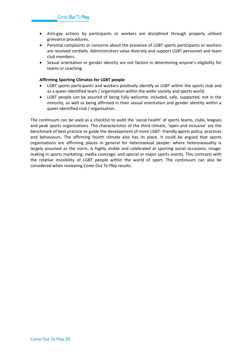- Anti-gay actions by participants or workers are disciplined through properly utilised grievance procedures.
- Parental complaints or concerns about the presence of LGBT sports participants or workers are received cordially. Administrators value diversity and support LGBT personnel and team club members.
- Sexual orientation or gender identity are not factors in determining anyone's eligibility for teams or coaching.

#### **Affirming Sporting Climates for LGBT people**

- LGBT sports participants and workers positively identify as LGBT within the sports club and as a queer-identified team / organisation within the wider society and sports world.
- LGBT people can be assured of being fully welcome, included, safe, supported, not in the minority, as well as being affirmed in their sexual orientation and gender identity within a queer-identified club / organisation.

The continuum can be used as a checklist to audit the 'social health' of sports teams, clubs, leagues and peak sports organisations. The characteristics of the third climate, 'open and inclusive' are the benchmark of best practice to guide the development of more LGBT- friendly **s**ports policy, practices and behaviours. The affirming fourth climate also has its place. It could be argued that sports organisations are affirming places in general for heterosexual people: where heterosexuality is largely assumed as the norm; is highly visible and celebrated at sporting social occasions; imagemaking in sports marketing; media coverage; and special or major sports events. This contrasts with the relative invisibility of LGBT people within the world of sport. The continuum can also be considered when reviewing *Come Out To Play* results.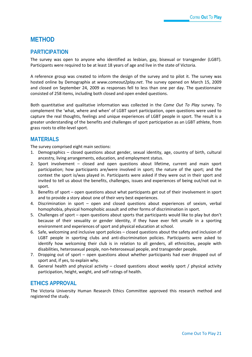## <span id="page-22-0"></span>**METHOD**

## **PARTICIPATION**

The survey was open to anyone who identified as lesbian, gay, bisexual or transgender (LGBT). Participants were required to be at least 18 years of age and live in the state of Victoria.

A reference group was created to inform the design of the survey and to pilot it. The survey was hosted online by Demographix at *www.comeout2play.net*. The survey opened on March 15, 2009 and closed on September 24, 2009 as responses fell to less than one per day. The questionnaire consisted of 258 items, including both closed and open ended questions.

Both quantitative and qualitative information was collected in the *Come Out To Play* survey. To complement the 'what, where and when' of LGBT sport participation, open questions were used to capture the real thoughts, feelings and unique experiences of LGBT people in sport. The result is a greater understanding of the benefits and challenges of sport participation as an LGBT athlete, from grass roots to elite-level sport.

## **MATERIALS**

The survey comprised eight main sections:

- 1. Demographics closed questions about gender, sexual identity, age, country of birth, cultural ancestry, living arrangements, education, and employment status.
- 2. Sport involvement closed and open questions about lifetime, current and main sport participation; how participants are/were involved in sport; the nature of the sport; and the context the sport is/was played in. Participants were asked if they were out in their sport and invited to tell us about the benefits, challenges, issues and experiences of being out/not out in sport.
- 3. Benefits of sport open questions about what participants get out of their involvement in sport and to provide a story about one of their very best experiences.
- 4. Discrimination in sport open and closed questions about experiences of sexism, verbal homophobia, physical homophobic assault and other forms of discrimination in sport.
- 5. Challenges of sport open questions about sports that participants would like to play but don't because of their sexuality or gender identity, if they have ever felt unsafe in a sporting environment and experiences of sport and physical education at school.
- 6. Safe, welcoming and inclusive sport policies closed questions about the safety and inclusion of LGBT people in sporting clubs and anti-discrimination policies. Participants were asked to identify how welcoming their club is in relation to all genders, all ethnicities, people with disabilities, heterosexual people, non-heterosexual people, and transgender people.
- 7. Dropping out of sport open questions about whether participants had ever dropped out of sport and, if yes, to explain why.
- 8. General health and physical activity closed questions about weekly sport / physical activity participation, height, weight, and self ratings of health.

## **ETHICS APPROVAL**

The Victoria University Human Research Ethics Committee approved this research method and registered the study.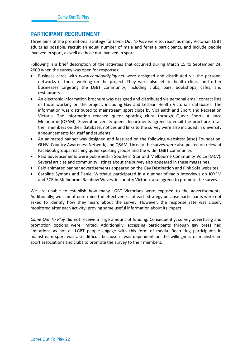## **PARTICIPANT RECRUITMENT**

Three aims of the promotional strategy for *Come Out To Play* were to: reach as many Victorian LGBT adults as possible, recruit an equal number of male and female participants, and include people involved in sport, as well as those not involved in sport.

Following is a brief description of the activities that occurred during March 15 to September 24, 2009 when the survey was open for responses:

- Business cards with *www.comeout2play.net* were designed and distributed via the personal networks of those working on the project. They were also left in health clinics and other businesses targeting the LGBT community, including clubs, bars, bookshops, cafes, and restaurants.
- An electronic information brochure was designed and distributed via personal email contact lists of those working on the project, including Gay and Lesbian Health Victoria's databases. The information was distributed to mainstream sport clubs by VicHealth and Sport and Recreation Victoria. The information reached queer sporting clubs through Queer Sports Alliance Melbourne (QSAM). Several university queer departments agreed to email the brochure to all their members on their database; notices and links to the survey were also included in university announcements for staff and students.
- An animated banner was designed and featured on the following websites: {also} Foundation, GLHV, Country Awareness Network, and QSAM. Links to the survey were also posted on relevant Facebook groups reaching queer sporting groups and the wider LGBT community.
- Paid advertisements were published in Southern Star and Melbourne Community Voice (MCV). Several articles and community listings about the survey also appeared in these magazines.
- Paid animated banner advertisements appeared on the Gay Destination and Pink Sofa websites.
- Caroline Symons and Daniel Witthaus participated in a number of radio interviews on JOYFM and 3CR in Melbourne. Rainbow Waves, in country Victoria, also agreed to promote the survey.

We are unable to establish how many LGBT Victorians were exposed to the advertisements. Additionally, we cannot determine the effectiveness of each strategy because participants were not asked to identify how they heard about the survey. However, the response rate was closely monitored after each activity; proving some useful information about its impact.

*Come Out To Play* did not receive a large amount of funding. Consequently, survey advertising and promotion options were limited. Additionally, accessing participants through gay press had limitations as not all LGBT people engage with this form of media. Recruiting participants in mainstream sport was also difficult because it was dependent on the willingness of mainstream sport associations and clubs to promote the survey to their members.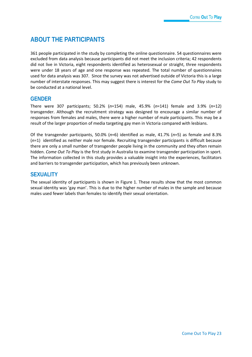# <span id="page-24-0"></span>**ABOUT THE PARTICIPANTS**

361 people participated in the study by completing the online questionnaire. 54 questionnaires were excluded from data analysis because participants did not meet the inclusion criteria; 42 respondents did not live in Victoria, eight respondents identified as heterosexual or straight, three respondents were under 18 years of age and one response was repeated. The total number of questionnaires used for data analysis was 307. Since the survey was not advertised outside of Victoria this is a large number of interstate responses. This may suggest there is interest for the *Come Out To Play* study to be conducted at a national level.

## **GENDER**

There were 307 participants; 50.2% (*n*=154) male, 45.9% (*n*=141) female and 3.9% (*n*=12) transgender. Although the recruitment strategy was designed to encourage a similar number of responses from females and males, there were a higher number of male participants. This may be a result of the larger proportion of media targeting gay men in Victoria compared with lesbians.

Of the transgender participants, 50.0% (*n*=6) identified as male, 41.7% (*n*=5) as female and 8.3% (*n*=1) identified as neither male nor female. Recruiting transgender participants is difficult because there are only a small number of transgender people living in the community and they often remain hidden. *Come Out To Play* is the first study in Australia to examine transgender participation in sport. The information collected in this study provides a valuable insight into the experiences, facilitators and barriers to transgender participation, which has previously been unknown.

## **SEXUALITY**

The sexual identity of participants is shown in Figure 1. These results show that the most common sexual identity was 'gay man'. This is due to the higher number of males in the sample and because males used fewer labels than females to identify their sexual orientation.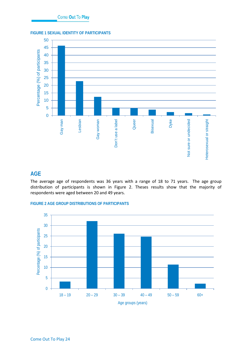#### <span id="page-25-0"></span>**FIGURE 1 SEXUAL IDENTITY OF PARTICIPANTS**



## **AGE**

The average age of respondents was 36 years with a range of 18 to 71 years. The age group distribution of participants is shown in Figure 2. Theses results show that the majority of respondents were aged between 20 and 49 years.

<span id="page-25-1"></span>

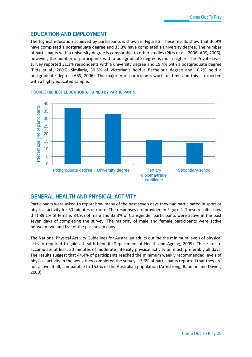## **EDUCATION AND EMPLOYMENT**

The highest education achieved by participants is shown in Figure 3. These results show that 36.9% have completed a postgraduate degree and 33.3% have completed a university degree. The number of participants with a university degree is comparable to other studies (Pitts et al., 2006; ABS, 2006), however, the number of participants with a postgraduate degree is much higher. The Private Lives survey reported 31.3% respondents with a university degree and 19.4% with a postgraduate degree (Pitts et al., 2006). Similarly, 30.6% of Victorian's hold a Bachelor's degree and 10.2% hold a postgraduate degree (ABS, 2006). The majority of participants work full-time and this is expected with a highly educated sample.



#### <span id="page-26-0"></span>**FIGURE 3 HIGHEST EDUCATION ATTAINED BY PARTICIPANTS**

## **GENERAL HEALTH AND PHYSICAL ACTIVITY**

Participants were asked to report how many of the past seven days they had participated in sport or physical activity for 30 minutes or more. The responses are provided in Figure 4. These results show that 89.1% of female, 84.9% of male and 33.3% of transgender participants were active in the past seven days of completing the survey. The majority of male and female participants were active between two and five of the past seven days.

The National Physical Activity Guidelines for Australian adults outline the minimum levels of physical activity required to gain a health benefit (Department of Health and Ageing, 2009). These are to accumulate at least 30 minutes of moderate intensity physical activity on most, preferably all days. The results suggest that 44.4% of participants reached the minimum weekly recommended levels of physical activity in the week they completed the survey. 13.6% of participants reported that they are not active at all; comparable to 15.0% of the Australian population (Armstrong, Bauman and Davies, 2000).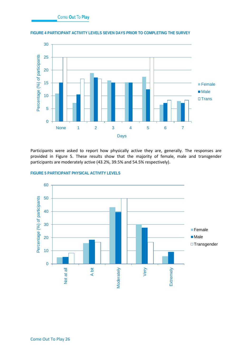

<span id="page-27-0"></span>**FIGURE 4 PARTICIPANT ACTIVITY LEVELS SEVEN DAYS PRIOR TO COMPLETING THE SURVEY**

Participants were asked to report how physically active they are, generally. The responses are provided in Figure 5. These results show that the majority of female, male and transgender participants are moderately active (43.2%, 39.5% and 54.5% respectively).



#### <span id="page-27-1"></span>**FIGURE 5 PARTICIPANT PHYSICAL ACTIVITY LEVELS**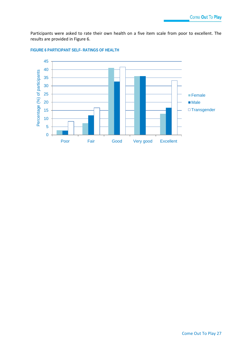Participants were asked to rate their own health on a five item scale from poor to excellent. The results are provided in Figure 6.



#### <span id="page-28-0"></span>**FIGURE 6 PARTICIPANT SELF- RATINGS OF HEALTH**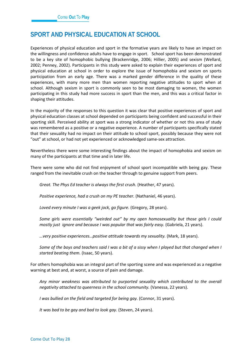## <span id="page-29-0"></span>**SPORT AND PHYSICAL EDUCATION AT SCHOOL**

Experiences of physical education and sport in the formative years are likely to have an impact on the willingness and confidence adults have to engage in sport. School sport has been demonstrated to be a key site of homophobic bullying (Brackenridge, 2006; Hillier, 2005) and sexism (Wellard, 2002; Penney, 2002). Participants in this study were asked to explain their experiences of sport and physical education at school in order to explore the issue of homophobia and sexism on sports participation from an early age. There was a marked gender difference in the quality of these experiences, with many more men than women reporting negative attitudes to sport when at school. Although sexism in sport is commonly seen to be most damaging to women, the women participating in this study had more success in sport than the men, and this was a critical factor in shaping their attitudes.

In the majority of the responses to this question it was clear that positive experiences of sport and physical education classes at school depended on participants being confident and successful in their sporting skill. Perceived ability at sport was a strong indicator of whether or not this area of study was remembered as a positive or a negative experience. A number of participants specifically stated that their sexuality had no impact on their attitude to school sport, possibly because they were not "out" at school, or had not yet experienced or acknowledged same-sex attraction.

Nevertheless there were some interesting findings about the impact of homophobia and sexism on many of the participants at that time and in later life.

There were some who did not find enjoyment of school sport incompatible with being gay. These ranged from the inevitable crush on the teacher through to genuine support from peers.

*Great. The Phys Ed teacher is always the first crush.* (Heather, 47 years).

*Positive experience, had a crush on my PE teacher.* (Nathaniel, 46 years).

*Loved every minute I was a geek jock, go figure.* (Gregory, 28 years).

*Some girls were essentially "weirded out" by my open homosexuality but those girls I could mostly just ignore and because I was popular that was fairly easy.* (Gabriela, 21 years).

*…very positive experiences…positive attitude towards my sexuality.* (Mark, 18 years).

*Some of the boys and teachers said I was a bit of a sissy when I played but that changed when I started beating them.* (Isaac, 50 years).

For others homophobia was an integral part of the sporting scene and was experienced as a negative warning at best and, at worst, a source of pain and damage.

*Any minor weakness was attributed to purported sexuality which contributed to the overall negativity attached to queerness in the school community.* (Vanessa, 22 years).

*I was bullied on the field and targeted for being gay.* (Connor, 31 years).

*It was bad to be gay and bad to look gay.* (Steven, 24 years).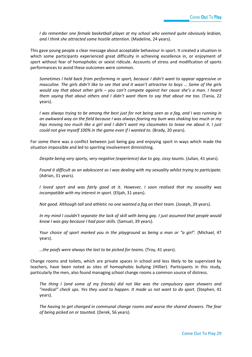*I do remember one female basketball player at my school who seemed quite obviously lesbian, and I think she attracted some hostile attention.* (Madeline, 24 years).

This gave young people a clear message about acceptable behaviour in sport. It created a situation in which some participants experienced great difficulty in achieving excellence in, or enjoyment of sport without fear of homophobic or sexist ridicule. Accounts of stress and modification of sports performances to avoid these outcomes were common.

*Sometimes I held back from performing in sport, because I didn't want to appear aggressive or masculine. The girls didn't like to see that and it wasn't attractive to boys … Some of the girls would say that about other girls – you can't compete against her cause she's a man. I heard them saying that about others and I didn't want them to say that about me too.* (Tania, 22 years).

*I was always trying to be among the best just for not being seen as a fag, and I was running in an awkward way on the field because I was always fearing my bum was shaking too much or my hips moving too much like a girl and I didn't want my classmates to tease me about it. I just could not give myself 100% in the game even if I wanted to.* (Brady, 20 years).

For some there was a conflict between just being gay and enjoying sport in ways which made the situation impossible and led to sporting involvement diminishing.

*Despite being very sporty, very negative (experience) due to gay, sissy taunts.* (Julian, 41 years).

*Found it difficult as an adolescent as I was dealing with my sexuality whilst trying to participate.* (Adrian, 31 years).

*I loved sport and was fairly good at it. However, I soon realised that my sexuality was incompatible with my interest in sport.* (Elijah, 31 years).

*Not good. Although tall and athletic no one wanted a fag on their team.* (Joseph, 39 years).

*In my mind I couldn't separate the lack of skill with being gay. I just assumed that people would know I was gay because I had poor skills.* (Samuel, 39 years).

*Your choice of sport marked you in the playground as being a man or "a girl".* (Michael, 47 years).

*…the poofs were always the last to be picked for teams.* (Troy, 41 years).

Change rooms and toilets, which are private spaces in school and less likely to be supervised by teachers, have been noted as sites of homophobic bullying (Hillier). Participants in this study, particularly the men, also found managing school change rooms a common source of distress.

*The thing I (and some of my friends) did not like was the compulsory open showers and "medical" check ups. Yes they used to happen. It made us not want to do sport.* (Stephen, 41 years).

*The having to get changed in communal change rooms and worse the shared showers. The fear of being picked on or taunted.* (Derek, 56 years).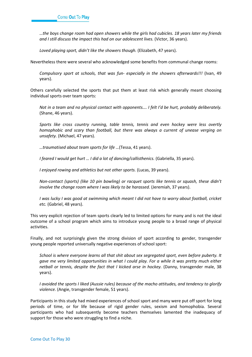*…the boys change room had open showers while the girls had cubicles. 18 years later my friends and I still discuss the impact this had on our adolescent lives.* (Victor, 36 years).

*Loved playing sport, didn't like the showers though.* (Elizabeth, 47 years).

Nevertheless there were several who acknowledged some benefits from communal change rooms:

*Compulsory sport at schools, that was fun- especially in the showers afterwards!!!* (Ivan, 49 years).

Others carefully selected the sports that put them at least risk which generally meant choosing individual sports over team sports:

*Not in a team and no physical contact with opponents…. I felt I'd be hurt, probably deliberately.* (Shane, 46 years).

*Sports like cross country running, table tennis, tennis and even hockey were less overtly homophobic and scary than football, but there was always a current of unease verging on unsafety.* (Michael, 47 years).

*…traumatised about team sports for life …*(Tessa, 41 years).

*I feared I would get hurt … I did a lot of dancing/callisthenics.* (Gabriella, 35 years).

*I enjoyed rowing and athletics but not other sports.* (Lucas, 39 years).

*Non-contact (sports) (like 10 pin bowling) or racquet sports like tennis or squash, these didn't involve the change room where I was likely to be harassed.* (Jeremiah, 37 years).

*I was lucky I was good at swimming which meant I did not have to worry about football, cricket etc.* (Gabriel, 48 years).

This very explicit rejection of team sports clearly led to limited options for many and is not the ideal outcome of a school program which aims to introduce young people to a broad range of physical activities.

Finally, and not surprisingly given the strong division of sport according to gender, transgender young people reported universally negative experiences of school sport:

*School is where everyone learns all that shit about sex segregated sport, even before puberty. It gave me very limited opportunities in what I could play. For a while it was pretty much either netball or tennis, despite the fact that I kicked arse in hockey.* (Danny, transgender male, 38 years).

*I avoided the sports I liked (Aussie rules) because of the macho attitudes, and tendency to glorify violence.* (Angie, transgender female, 51 years).

Participants in this study had mixed experiences of school sport and many were put off sport for long periods of time, or for life because of rigid gender rules, sexism and homophobia. Several participants who had subsequently become teachers themselves lamented the inadequacy of support for those who were struggling to find a niche.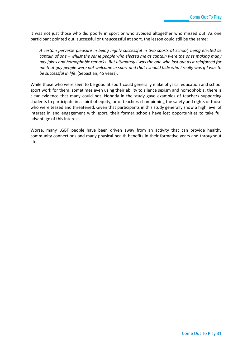It was not just those who did poorly in sport or who avoided altogether who missed out. As one participant pointed out, successful or unsuccessful at sport, the lesson could still be the same:

*A certain perverse pleasure in being highly successful in two sports at school, being elected as captain of one – whilst the same people who elected me as captain were the ones making many gay jokes and homophobic remarks. But ultimately I was the one who lost out as it reinforced for me that gay people were not welcome in sport and that I should hide who I really was if I was to be successful in life*. (Sebastian, 45 years).

While those who were seen to be good at sport could generally make physical education and school sport work for them, sometimes even using their ability to silence sexism and homophobia, there is clear evidence that many could not. Nobody in the study gave examples of teachers supporting students to participate in a spirit of equity, or of teachers championing the safety and rights of those who were teased and threatened. Given that participants in this study generally show a high level of interest in and engagement with sport, their former schools have lost opportunities to take full advantage of this interest.

Worse, many LGBT people have been driven away from an activity that can provide healthy community connections and many physical health benefits in their formative years and throughout life.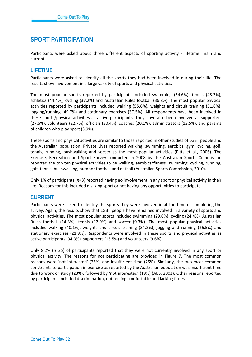# <span id="page-33-0"></span>**SPORT PARTICIPATION**

Participants were asked about three different aspects of sporting activity - lifetime, main and current.

## **LIFETIME**

Participants were asked to identify all the sports they had been involved in during their life. The results show involvement in a large variety of sports and physical activities.

The most popular sports reported by participants included swimming (54.6%), tennis (48.7%), athletics (44.4%), cycling (37.2%) and Australian Rules football (36.8%). The most popular physical activities reported by participants included walking (55.6%), weights and circuit training (51.6%), jogging/running (49.7%) and stationary exercises (37.5%). All respondents have been involved in these sports/physical activities as active participants. They have also been involved as supporters (27.6%), volunteers (22.7%), officials (20.4%), coaches (20.1%), administrators (13.5%), and parents of children who play sport (3.9%).

These sports and physical activities are similar to those reported in other studies of LGBT people and the Australian population. Private Lives reported walking, swimming, aerobics, gym, cycling, golf, tennis, running, bushwalking and soccer as the most popular activities (Pitts et al., 2006). The Exercise, Recreation and Sport Survey conducted in 2008 by the Australian Sports Commission reported the top ten physical activities to be walking, aerobics/fitness, swimming, cycling, running, golf, tennis, bushwalking, outdoor football and netball (Australian Sports Commission, 2010).

Only 1% of participants (*n*=3) reported having no involvement in any sport or physical activity in their life. Reasons for this included disliking sport or not having any opportunities to participate.

## **CURRENT**

Participants were asked to identify the sports they were involved in at the time of completing the survey. Again, the results show that LGBT people have remained involved in a variety of sports and physical activities. The most popular sports included swimming (29.0%), cycling (24.4%), Australian Rules football (14.3%), tennis (12.9%) and soccer (9.3%). The most popular physical activities included walking (40.1%), weights and circuit training (34.8%), jogging and running (26.5%) and stationary exercises (21.9%). Respondents were involved in these sports and physical activities as active participants (94.3%), supporters (13.5%) and volunteers (9.6%).

Only 8.2% (*n*=25) of participants reported that they were not currently involved in any sport or physical activity. The reasons for not participating are provided in Figure 7. The most common reasons were 'not interested' (25%) and insufficient time (25%). Similarly, the two most common constraints to participation in exercise as reported by the Australian population was insufficient time due to work or study (23%), followed by 'not interested' (19%) (ABS, 2002). Other reasons reported by participants included discrimination, not feeling comfortable and lacking fitness.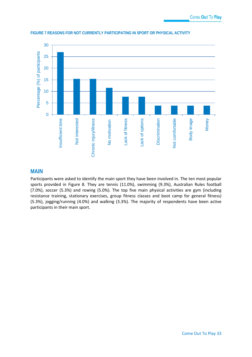

#### <span id="page-34-0"></span>**FIGURE 7 REASONS FOR NOT CURRENTLY PARTICIPATING IN SPORT OR PHYSICAL ACTIVITY**

### **MAIN**

Participants were asked to identify the main sport they have been involved in. The ten most popular sports provided in Figure 8. They are tennis (11.0%), swimming (9.3%), Australian Rules football (7.0%), soccer (5.3%) and rowing (5.0%). The top five main physical activities are gym (including resistance training, stationary exercises, group fitness classes and boot camp for general fitness) (5.3%), jogging/running (4.0%) and walking (3.3%). The majority of respondents have been active participants in their main sport.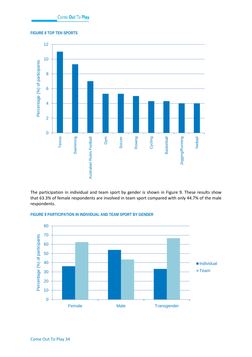#### <span id="page-35-0"></span>**FIGURE 8 TOP TEN SPORTS**



The participation in individual and team sport by gender is shown in Figure 9. These results show that 63.3% of female respondents are involved in team sport compared with only 44.7% of the male respondents.



#### <span id="page-35-1"></span>**FIGURE 9 PARTICIPATION IN INDIVIDUAL AND TEAM SPORT BY GENDER**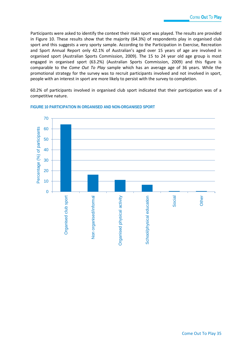Participants were asked to identify the context their main sport was played. The results are provided in Figure 10. These results show that the majority (64.3%) of respondents play in organised club sport and this suggests a very sporty sample. According to the Participation in Exercise, Recreation and Sport Annual Report only 42.1% of Australian's aged over 15 years of age are involved in organised sport (Australian Sports Commission, 2009). The 15 to 24 year old age group is most engaged in organised sport (63.2%) (Australian Sports Commission, 2009) and this figure is comparable to the *Come Out To Play* sample which has an average age of 36 years. While the promotional strategy for the survey was to recruit participants involved and not involved in sport, people with an interest in sport are more likely to persist with the survey to completion.

60.2% of participants involved in organised club sport indicated that their participation was of a competitive nature.



#### **FIGURE 10 PARTICIPATION IN ORGANISED AND NON-ORGANISED SPORT**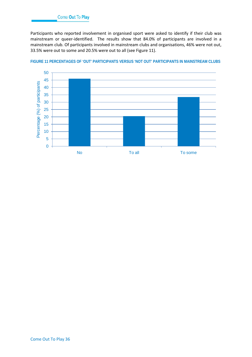Participants who reported involvement in organised sport were asked to identify if their club was mainstream or queer-identified. The results show that 84.0% of participants are involved in a mainstream club. Of participants involved in mainstream clubs and organisations, 46% were not out, 33.5% were out to some and 20.5% were out to all (see Figure 11).



#### **FIGURE 11 PERCENTAGES OF 'OUT' PARTICIPANTS VERSUS 'NOT OUT' PARTICIPANTS IN MAINSTREAM CLUBS**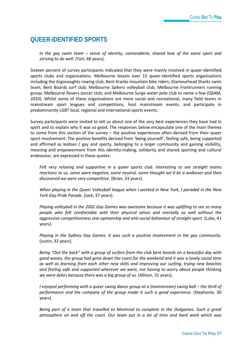# **QUEER-IDENTIFIED SPORTS**

*In the gay swim team – sense of identity, camaraderie, shared love of the same sport and striving to do well.* (Tori, 48 years).

Sixteen percent of survey participants indicated that they were mainly involved in queer-identified sports clubs and organisations. Melbourne boasts over 15 queer-identified sports organisations including the Argonaughts rowing club; Bent Kranks mountain bike riders; Glamourhead Sharks swim team; Bent Boards surf club; Melbourne Spikers volleyball club; Melbourne Frontrunners running group; Melbourne Rovers soccer club; and Melbourne Surge water polo club to name a few (QSAM, 2010). Whilst some of these organisations are more social and recreational, many field teams in mainstream sport leagues and competitions, host mainstream events, and participate in predominantly LGBT local, regional and international sports events.

Survey participants were invited to tell us about one of the very best experiences they have had in sport and to explain why it was so good. The responses below encapsulate one of the main themes to come from this section of the survey – the positive experiences often derived from their queer sport involvement. The positive benefits derived from 'being yourself', feeling safe, being supported and affirmed as lesbian / gay and sporty, belonging to a larger community and gaining visibility, meaning and empowerment from this identity-making, solidarity and shared sporting and cultural endeavour, are expressed in these quotes:

*Felt very relaxing and supportive in a queer sports club. Interesting to see straight teams reactions to us, some were negative, some neutral, some thought we'd be a walkover and then discovered we were very competitive.* (Brian, 33 years).

*When playing in the Queer Volleyball league when I worked in New York, I paraded in the New York Gay Pride Parade.* (Jack, 37 years).

*Playing volleyball in the 2002 Gay Games was awesome because it was uplifting to see so many people who felt comfortable with their physical selves and mentally as well without the aggressive competitiveness one-upmanship and anti-social behaviour of straight sport.* (Luke, 41 years).

*Playing in the Sydney Gay Games. It was such a positive involvement in the gay community.* (Justin, 32 years).

*Being "Out the back" with a group of surfers from the club bent boards on a beautiful day with good waves, the group had gone down the coast for the weekend and it was a lovely social time as well as learning from each other new skills and improving our surfing, trying new beaches and feeling safe and supported wherever we went, not having to worry about people thinking we were dykes because there was a big group of us.* (Allison, 31 years).

*I enjoyed performing with a queer swing dance group at a (mainstream) swing ball – the thrill of performance and the company of the group made it such a good experience.* (Stephanie, 30 years).

*Being part of a team that travelled to Montreal to complete in the Outgames. Such a great atmosphere on and off the court. Our team put in a lot of time and hard work which was*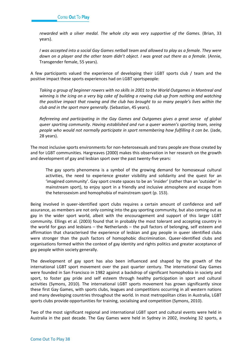*rewarded with a silver medal. The whole city was very supportive of the Games.* (Brian, 33 years).

*I was accepted into a social Gay Games netball team and allowed to play as a female. They were down on a player and the other team didn't object. I was great out there as a female.* (Annie, Transgender female, 55 years).

A few participants valued the experience of developing their LGBT sports club / team and the positive impact these sports experiences had on LGBT sportspeople:

*Taking a group of beginner rowers with no skills in 2001 to the World Outgames in Montreal and winning is the icing on a very big cake of building a rowing club up from nothing and watching the positive impact that rowing and the club has brought to so many people's lives within the club and in the sport more generally.* (Sebastian, 45 years).

*Refereeing and participating in the Gay Games and Outgames gives a great sense of global queer sporting community. Having established and run a queer women's sporting team, seeing people who would not normally participate in sport remembering how fulfilling it can be.* (Jade, 28 years).

The most inclusive sports environments for non-heterosexuals and trans people are those created by and for LGBT communities. Hargreaves (2000) makes this observation in her research on the growth and development of gay and lesbian sport over the past twenty-five years:

The gay sports phenomena is a symbol of the growing demand for homosexual cultural activities, the need to experience greater visibility and solidarity and the quest for an 'imagined community'. Gay sport create spaces to be an 'insider' (rather than an 'outsider' in mainstream sport), to enjoy sport in a friendly and inclusive atmosphere and escape from the heterosexism and homophobia of mainstream sport (p. 153).

Being involved in queer-identified sport clubs requires a certain amount of confidence and self assurance, as members are not only coming into the gay sporting community, but also coming out as gay in the wider sport world, albeit with the encouragement and support of this larger LGBT community. Ellings et al. (2003) found that in probably the most tolerant and accepting country in the world for gays and lesbians – the Netherlands – the pull factors of belonging, self esteem and affirmation that characterised the experience of lesbian and gay people in queer identified clubs were stronger than the push factors of homophobic discrimination. Queer-identified clubs and organisations formed within the context of gay identity and rights politics and greater acceptance of gay people within society generally.

The development of gay sport has also been influenced and shaped by the growth of the international LGBT sport movement over the past quarter century. The international Gay Games were founded in San Francisco in 1982 against a backdrop of significant homophobia in society and sport, to foster gay pride and self esteem through healthy participation in sport and cultural activities (Symons, 2010). The international LGBT sports movement has grown significantly since these first Gay Games, with sports clubs, leagues and competitions occurring in all western nations and many developing countries throughout the world. In most metropolitan cities in Australia, LGBT sports clubs provide opportunities for training, socialising and competition (Symons, 2010).

Two of the most significant regional and international LGBT sport and cultural events were held in Australia in the past decade. The Gay Games were held in Sydney in 2002, involving 32 sports, a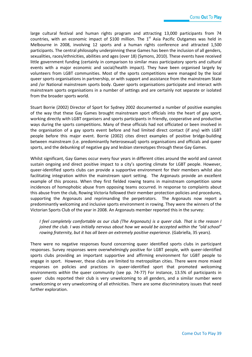large cultural festival and human rights program and attracting 13,000 participants from 74 countries, with an economic impact of \$100 million. The  $1<sup>st</sup>$  Asia Pacific Outgames was held in Melbourne in 2008, involving 12 sports and a human rights conference and attracted 1,500 participants. The central philosophy underpinning these Games has been the inclusion of all genders, sexualities, races/ethnicities, abilities and ages (over 18) (Symons, 2010). These events have received little government funding (certainly in comparison to similar mass participatory sports and cultural events with a major economic and social/health impact). They have been organised largely by volunteers from LGBT communities. Most of the sports competitions were managed by the local queer sports organisations in partnership, or with support and assistance from the mainstream State and /or National mainstream sports body. Queer sports organisations participate and interact with mainstream sports organisations in a number of settings and are certainly not separate or isolated from the broader sports world.

Stuart Borrie (2002) Director of Sport for Sydney 2002 documented a number of positive examples of the way that these Gay Games brought mainstream sport officials into the heart of gay sport, working directly with LGBT organisers and sports participants in friendly, cooperative and productive ways during the sports competitions. Many of these officials had not officiated or been involved in the organisation of a gay sports event before and had limited direct contact (if any) with LGBT people before this major event. Borrie (2002) cites direct examples of positive bridge-building between mainstream (i.e. predominantly heterosexual) sports organisations and officials and queer sports, and the debunking of negative gay and lesbian stereotypes through these Gay Games.

Whilst significant, Gay Games occur every four years in different cities around the world and cannot sustain ongoing and direct positive impact to a city's sporting climate for LGBT people. However, queer-identified sports clubs can provide a supportive environment for their members whilst also facilitating integration within the mainstream sport setting. The Argonauts provide an excellent example of this process. When they first fielded rowing teams in mainstream competition some incidences of homophobic abuse from opposing teams occurred. In response to complaints about this abuse from the club, Rowing Victoria followed their member protection policies and procedures, supporting the Argonauts and reprimanding the perpetrators. The Argonauts now report a predominantly welcoming and inclusive sports environment in rowing. They were the winners of the Victorian Sports Club of the year in 2008. An Argonauts member reported this in the survey:

*I feel completely comfortable as our club (The Argonauts) is a queer club. That is the reason I joined the club. I was initially nervous about how we would be accepted within the "old school" rowing fraternity, but it has all been an extremely positive experience.* (Gabriella, 35 years).

There were no negative responses found concerning queer identified sports clubs in participant responses. Survey responses were overwhelmingly positive for LGBT people, with queer-identified sports clubs providing an important supportive and affirming environment for LGBT people to engage in sport. However, these clubs are limited to metropolitan cities. There were more mixed responses on policies and practices in queer-identified sport that promoted welcoming environments *within* the queer community (see pp. 74-77) For instance, 13.5% of participants in queer clubs reported their club is very unwelcoming to all genders, and a similar number were unwelcoming or very unwelcoming of all ethnicities. There are some discriminatory issues that need further exploration.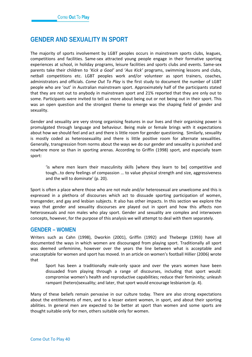# **GENDER AND SEXUALITY IN SPORT**

The majority of sports involvement by LGBT peoples occurs in mainstream sports clubs, leagues, competitions and facilities. Same-sex attracted young people engage in their formative sporting experiences at school, in holiday programs, leisure facilities and sports clubs and events. Same-sex parents take their children to '*Kick a Goal'* and '*Aus Kick'* programs, swimming lessons and clubs, netball competitions etc. LGBT peoples work and/or volunteer as sport trainers, coaches, administrators and officials. *Come Out To Play* is the first study to document the number of LGBT people who are 'out' in Australian mainstream sport. Approximately half of the participants stated that they are not out to anybody in mainstream sport and 21% reported that they are only out to some. Participants were invited to tell us more about being out or not being out in their sport. This was an open question and the strongest theme to emerge was the shaping field of gender and sexuality.

Gender and sexuality are very strong organising features in our lives and their organising power is promulgated through language and behaviour. Being male or female brings with it expectations about how we should feel and act and there is little room for gender questioning. Similarly, sexuality is mostly coded as heterosexuality and there is little positive room for alternate sexualities. Generally, transgression from norms about the ways we do our gender and sexuality is punished and nowhere more so than in sporting arenas. According to Griffin (1998) sport, and especially team sport:

'is where men learn their masculinity skills [where they learn to be] competitive and tough…to deny feelings of compassion … to value physical strength and size, aggressiveness and the will to dominate' (p. 20).

Sport is often a place where those who are not male and/or heterosexual are unwelcome and this is expressed in a plethora of discourses which act to dissuade sporting participation of women, transgender, and gay and lesbian subjects. It also has other impacts. In this section we explore the ways that gender and sexuality discourses are played out in sport and how this affects non heterosexuals and non males who play sport. Gender and sexuality are complex and interwoven concepts, however, for the purpose of this analysis we will attempt to deal with them separately.

### **GENDER – WOMEN**

Writers such as Cahn (1998), Dworkin (2001), Griffin (1992) and Theberge (1993) have all documented the ways in which women are discouraged from playing sport. Traditionally all sport was deemed unfeminine, however over the years the line between what is acceptable and unacceptable for women and sport has moved. In an article on women's football Hillier (2006) wrote that

Sport has been a traditionally male-only space and over the years women have been dissuaded from playing through a range of discourses, including that sport would: compromise women's health and reproductive capabilities; reduce their femininity; unleash rampant (hetero)sexuality; and later, that sport would encourage lesbianism (p. 4).

Many of these beliefs remain pervasive in our culture today. There are also strong expectations about the entitlements of men, and to a lesser extent women, in sport, and about their sporting abilities. In general men are expected to be better at sport than women and some sports are thought suitable only for men, others suitable only for women.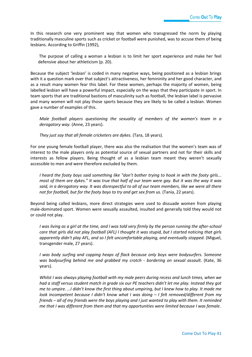In this research one very prominent way that women who transgressed the norm by playing traditionally masculine sports such as cricket or football were punished, was to accuse them of being lesbians. According to Griffin (1992),

The purpose of calling a woman a lesbian is to limit her sport experience and make her feel defensive about her athleticism (p. 20).

Because the subject 'lesbian' is coded in many negative ways, being positioned as a lesbian brings with it a question mark over that subject's attractiveness, her femininity and her good character, and as a result many women fear this label. For these women, perhaps the majority of women, being labelled lesbian will have a powerful impact, especially on the ways that they participate in sport. In team sports that are traditional bastions of masculinity such as football, the lesbian label is pervasive and many women will not play those sports because they are likely to be called a lesbian. Women gave a number of examples of this.

*Male football players questioning the sexuality of members of the women's team in a derogatory way.* (Anne, 23 years).

*They just say that all female cricketers are dykes.* (Tara, 18 years).

For one young female football player, there was also the realisation that the women's team was of interest to the male players only as potential source of sexual partners and not for their skills and interests as fellow players. Being thought of as a lesbian team meant they weren't sexually accessible to men and were therefore excluded by them.

*I heard the footy boys said something like "don't bother trying to hook in with the footy girls... most of them are dykes." It was true that half of our team were gay. But it was the way it was said, in a derogatory way. It was disrespectful to all of our team members, like we were all there not for football, but for the footy boys to try and get sex from us.* (Tania, 22 years).

Beyond being called lesbians, more direct strategies were used to dissuade women from playing male-dominated sport. Women were sexually assaulted, insulted and generally told they would not or could not play.

*I was living as a girl at the time, and I was told very firmly by the person running the after-school care that girls did not play football (AFL) I thought it was stupid, but I started noticing that girls apparently didn't play AFL, and so I felt uncomfortable playing, and eventually stopped.* (Miguel, transgender male, 27 years).

*I was body surfing and copping heaps of flack because only boys were bodysurfers. Someone was bodysurfing behind me and grabbed my crotch - bordering on sexual assault.* (Kate, 36 years).

*Whilst I was always playing football with my male peers during recess and lunch times, when we had a staff versus student match in grade six our PE teachers didn't let me play. Instead they got me to umpire. …I didn't know the first thing about umpiring, but I knew how to play. It made me look incompetent because I didn't know what I was doing – I felt removed/different from my friends – all of my friends were the boys playing and I just wanted to play with them. It reminded me that I was different from them and that my opportunities were limited because I was female.*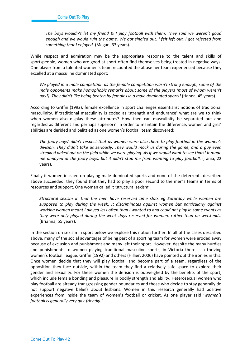*The boys wouldn't let my friend & I play football with them. They said we weren't good enough and we would ruin the game. We got singled out. I felt left out, I got rejected from something that I enjoyed.* (Megan, 33 years).

While respect and admiration may be the appropriate response to the talent and skills of sportspeople, women who are good at sport often find themselves being treated in negative ways. One player from a talented women's team recounted the abuse her team experienced because they excelled at a masculine dominated sport:

*We played in a male competition as the female competition wasn't strong enough, some of the male opponents make homophobic remarks about some of the players (most of whom weren't gay!). They didn't like being beaten by females in a male dominated sport!!* (Hanna, 45 years).

According to Griffin (1992), female excellence in sport challenges essentialist notions of traditional masculinity. If traditional masculinity is coded as 'strength and endurance' what are we to think when women also display these attributes? How then can masculinity be separated out and regarded as different and perhaps superior? In order to maintain the difference, women and girls' abilities are derided and belittled as one women's football team discovered:

*The footy boys' didn't respect that us women were also there to play football in the women's division. They didn't take us seriously. They would mock us during the game, and a guy even streaked naked out on the field while we were playing. As if we would want to see that!! It made me annoyed at the footy boys, but it didn't stop me from wanting to play football.* (Tania, 22 years).

Finally if women insisted on playing male dominated sports and none of the deterrents described above succeeded, they found that they had to play a poor second to the men's teams in terms of resources and support. One woman called it 'structural sexism':

*Structural sexism in that the men have reserved time slots eg Saturday while women are supposed to play during the week. It discriminates against women but particularly against working women meant I played less often than I wanted to and could not play in some events as they were only played during the week days reserved for women, rather than on weekends.*  (Brianna, 55 years).

In the section on sexism in sport below we explore this notion further. In all of the cases described above, many of the social advantages of being part of a sporting team for women were eroded away because of exclusion and punishment and many left their sport. However, despite the many hurdles and punishments to women playing traditional masculine sports, in Victoria there is a thriving women's football league. Griffin (1992) and others (Hillier, 2006) have pointed out the ironies in this. Once women decide that they will play football and become part of a team, regardless of the opposition they face outside, within the team they find a relatively safe space to explore their gender and sexuality. For these women the derision is outweighed by the benefits of the sport, which include female bonding and pleasure in bodily strength and ability. Heterosexual women who play football are already transgressing gender boundaries and those who decide to stay generally do not support negative beliefs about lesbians. Women in this research generally had positive experiences from inside the team of women's football or cricket. As one player said '*women's football is generally very gay-friendly.'*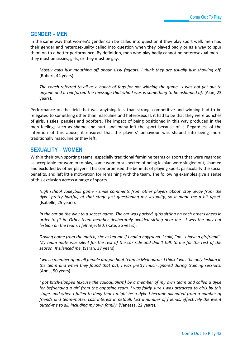### **GENDER – MEN**

In the same way that women's gender can be called into question if they play sport well, men had their gender and heterosexuality called into question when they played badly or as a way to spur them on to a better performance. By definition, men who play badly cannot be heterosexual men – they must be sissies, girls, or they must be gay.

*Mostly guys just mouthing off about sissy faggots. I think they are usually just showing off.*  (Robert, 44 years).

*The coach referred to all as a bunch of fags for not winning the game. I was not yet out to anyone and it reinforced the message that who I was is something to be ashamed of.* (Alan, 23 years).

Performance on the field that was anything less than strong, competitive and winning had to be relegated to something other than masculine and heterosexual, it had to be that they were bunches of girls, sissies, pansies and poofters. The impact of being positioned in this way produced in the men feelings such as shame and hurt, and many left the sport because of it. Regardless of the intention of this abuse, it ensured that the players' behaviour was shaped into being more traditionally masculine or they left.

### **SEXUALITY – WOMEN**

Within their own sporting teams, especially traditional feminine teams or sports that were regarded as acceptable for women to play, some women suspected of being lesbian were singled out, shamed and excluded by other players. This compromised the benefits of playing sport, particularly the social benefits, and left little motivation for remaining with the team. The following examples give a sense of this exclusion across a range of sports.

*High school volleyball game - snide comments from other players about 'stay away from the dyke' pretty hurtful; at that stage just questioning my sexuality, so it made me a bit upset.*  (Isabelle, 25 years).

*In the car on the way to a soccer game. The car was packed, girls sitting on each others knees in order to fit in. Other team member deliberately avoided sitting near me - I was the only out lesbian on the team. I felt rejected.* (Kate, 36 years).

*Driving home from the match, she asked me if I had a boyfriend. I said, "no - I have a girlfriend". My team mate was silent for the rest of the car ride and didn't talk to me for the rest of the season. It silenced me.* (Sarah, 37 years).

*I* was a member of an all female dragon boat team in Melbourne. I think I was the only lesbian in *the team and when they found that out, I was pretty much ignored during training sessions.* (Anna, 50 years).

*I got bitch-slapped (excuse the colloquialism) by a member of my own team and called a dyke for befriending a girl from the opposing team. I was fairly sure I was attracted to girls by this stage, and when I failed to deny that I might be a dyke I became alienated from a number of friends and team-mates. Lost interest in netball, lost a number of friends, effectively the event outed-me to all, including my own family.* (Vanessa, 22 years).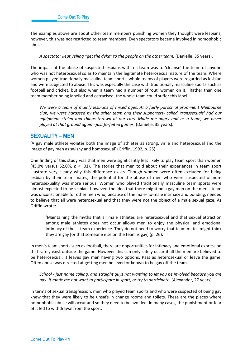The examples above are about other team members punishing women they thought were lesbians, however, this was not restricted to team members. Even spectators became involved in homophobic abuse.

#### A spectator kept yelling "get the dyke" to the people on the other team. (Danielle, 35 years).

The impact of the abuse of suspected lesbians within a team was to 'cleanse' the team of anyone who was not heterosexual so as to maintain the legitimate heterosexual nature of the team. Where women played traditionally masculine team sports, whole teams of players were regarded as lesbian and were subjected to abuse. This was especially the case with traditionally masculine sports such as football and cricket, but also when a team had a number of 'out' women on it. Rather than one team member being labelled and ostracised, the whole team could suffer this label.

*We were a team of mainly lesbians of mixed ages. At a fairly parochial prominent Melbourne club, we were harassed by the other team and their supporters- called 'transsexuals' had our equipment stolen and things thrown at our cars. Made me angry and as a team, we never played at that ground again - just forfeited games.* (Danielle, 35 years).

### **SEXUALITY – MEN**

'A gay male athlete violates both the image of athletes as strong, virile and heterosexual and the image of gay men as swishy and homosexual' (Griffin, 1992, p. 25).

One finding of this study was that men were significantly less likely to play team sport than women (45.0% versus 62.0%, *p* < .01). The stories that men told about their experiences in team sport illustrate very clearly why this difference exists. Though women were often excluded for being lesbian by their team mates, the potential for the abuse of men who were suspected of nonheterosexuality was more serious. Women who played traditionally masculine team sports were almost expected to be lesbian, however, the idea that there might be a gay man on the men's team was unconscionable for other men who, because of the male- to-male intimacy and bonding, needed to believe that all were heterosexual and that they were not the object of a male sexual gaze. As Griffin wrote:

'Maintaining the myths that all male athletes are heterosexual and that sexual attraction among male athletes does not occur allows men to enjoy the physical and emotional intimacy of the … team experience. They do not need to worry that team mates might think they are gay [or that someone else on the team is gay] (p. 26).

In men's team sports such as football, there are opportunities for intimacy and emotional expression that rarely exist outside the game. However this can only safely occur if all the men are believed to be heterosexual. It leaves gay men having two options. Pass as heterosexual or leave the game. Often abuse was directed at getting men believed or known to be gay off the team.

*School - just name calling, and straight guys not wanting to let you be involved because you are gay. It made me not want to participate in sport, or try to participate.* (Alexander, 27 years).

In terms of sexual transgression, men who played team sports and who were suspected of being gay knew that they were likely to be unsafe in change rooms and toilets. These are the places where homophobic abuse will occur and so they need to be avoided. In many cases, the punishment or fear of it led to withdrawal from the sport.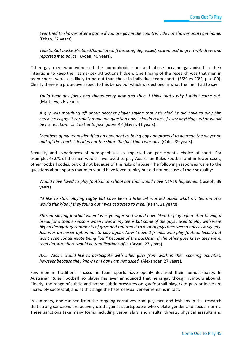*Ever tried to shower after a game if you are gay in the country? I do not shower until I get home.*  (Ethan, 32 years).

*Toilets. Got bashed/robbed/humiliated. [I became] depressed, scared and angry. I withdrew and reported it to police.* (Aden, 40 years).

Other gay men who witnessed the homophobic slurs and abuse became galvanised in their intentions to keep their same- sex attractions hidden. One finding of the research was that men in team sports were less likely to be out than those in individual team sports (55% vs 43%,  $p < .00$ ). Clearly there is a protective aspect to this behaviour which was echoed in what the men had to say:

*You'd hear gay jokes and things every now and then. I think that's why I didn't come out.* (Matthew, 26 years).

*A guy was mouthing off about another player saying that he's glad he did have to play him cause he is gay. It certainly made me question how I should react. If I say anything...what would be his reaction? Is it better to just ignore it?* (Gavin, 41 years).

*Members of my team identified an opponent as being gay and proceed to degrade the player on and off the court. I decided not the share the fact that I was gay.* (Colin, 39 years).

Sexuality and experiences of homophobia also impacted on participant's choice of sport. For example, 45.0% of the men would have loved to play Australian Rules Football and in fewer cases, other football codes, but did not because of the risks of abuse. The following responses were to the questions about sports that men would have loved to play but did not because of their sexuality:

*Would have loved to play football at school but that would have NEVER happened.* (Joseph, 39 years).

*I'd like to start playing rugby but have been a little bit worried about what my team-mates would think/do if they found out I was attracted to men.* (Keith, 21 years).

*Started playing football when I was younger and would have liked to play again after having a break for a couple seasons when I was in my teens but some of the guys I used to play with were big on derogatory comments of gays and referred it to a lot of guys who weren't necessarily gay. Just was an easier option not to play again. Now I have 2 friends who play football locally but wont even contemplate being "out" because of the backlash. If the other guys knew they were, then I'm sure there would be ramifications of it.* (Bryan, 27 years).

*AFL. Also I would like to participate with other guys from work in their sporting activities, however because they know I am gay I am not asked.* (Alexander, 27 years).

Few men in traditional masculine team sports have openly declared their homosexuality. In Australian Rules Football no player has ever announced that he is gay though rumours abound. Clearly, the range of subtle and not so subtle pressures on gay football players to pass or leave are incredibly successful, and at this stage the heterosexual veneer remains in tact.

In summary, one can see from the forgoing narratives from gay men and lesbians in this research that strong sanctions are actively used against sportspeople who violate gender and sexual norms. These sanctions take many forms including verbal slurs and insults, threats, physical assaults and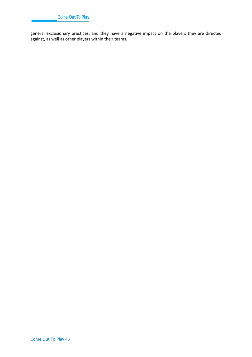

general exclusionary practices, and they have a negative impact on the players they are directed against, as well as other players within their teams.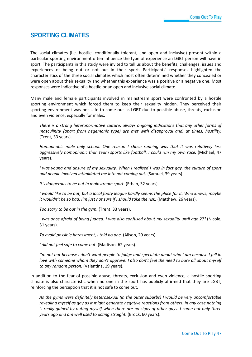# **SPORTING CLIMATES**

The social climates (i.e. hostile, conditionally tolerant, and open and inclusive) present within a particular sporting environment often influence the type of experience an LGBT person will have in sport. The participants in this study were invited to tell us about the benefits, challenges, issues and experiences of being out or not out in their sport. Participants' responses highlighted the characteristics of the three social climates which most often determined whether they concealed or were open about their sexuality and whether this experience was a positive or a negative one. Most responses were indicative of a hostile or an open and inclusive social climate.

Many male and female participants involved in mainstream sport were confronted by a hostile sporting environment which forced them to keep their sexuality hidden. They perceived their sporting environment was not safe to come out as LGBT due to possible abuse, threats, exclusion and even violence, especially for males.

*There is a strong heteronormative culture, always ongoing indications that any other forms of masculinity (apart from hegemonic type) are met with disapproval and, at times, hostility.* (Trent, 33 years).

*Homophobic male only school. One reason I chose running was that it was relatively less aggressively homophobic than team sports like football. I could run my own race.* (Michael, 47 years).

*I was young and unsure of my sexuality. When I realised I was in fact gay, the culture of sport and people involved intimidated me into not coming out.* (Samuel, 39 years).

*It's dangerous to be out in mainstream sport.* (Ethan, 32 years).

*I would like to be out, but a local footy league hardly seems the place for it. Who knows, maybe it wouldn't be so bad. I'm just not sure if I should take the risk.* (Matthew, 26 years).

*Too scary to be out in the gym.* (Trent, 33 years).

I *was once afraid of being judged. I was also confused about my sexuality until age 27!* (Nicole, 31 years).

*To avoid possible harassment, I told no one.* (Alison, 20 years).

*I did not feel safe to come out.* (Madison, 62 years).

*I'm not out because I don't want people to judge and speculate about who I am because I fell in love with someone whom they don't approve. I also don't feel the need to bare all about myself to any random person.* (Valentina, 19 years).

In addition to the fear of possible abuse, threats, exclusion and even violence, a hostile sporting climate is also characteristic when no one in the sport has publicly affirmed that they are LGBT, reinforcing the perception that it is not safe to come out.

*As the gyms were definitely heterosexual (in the outer suburbs) I would be very uncomfortable revealing myself as gay as it might generate negative reactions from others. In any case nothing is really gained by outing myself when there are no signs of other gays. I came out only three years ago and am well used to acting straight.* (Brock, 60 years).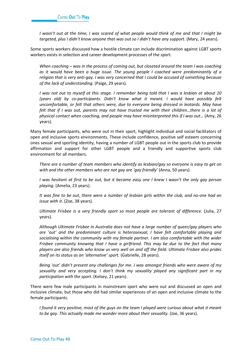*I wasn't out at the time, I was scared of what people would think of me and that I might be targeted, plus I didn't know anyone that was out so I didn't have any support.* (Mary, 24 years).

Some sports workers discussed how a hostile climate can include discrimination against LGBT sports workers exists in selection and career development processes of the sport.

*When coaching – was in the process of coming out, but closeted around the team I was coaching as it would have been a huge issue. The young people I coached were predominantly of a religion that is very anti-gay. I was very concerned that I could be accused of something because of the lack of understanding.* (Paige, 29 years).

*I was not out to myself at this stage. I remember being told that I was a lesbian at about 10 (years old) by co-participants. Didn't know what it meant. I would have possibly felt uncomfortable, or felt that others were, due to everyone being dressed in leotards. May have felt that if I was out, parents may not have trusted me with their children…there is a lot of physical contact when coaching, and people may have misinterpreted this if I was out…* (Amy, 26 years).

Many female participants, who were out in their sport, highlight individual and social facilitators of open and inclusive sports environments. These include confidence, positive self esteem concerning ones sexual and sporting identity, having a number of LGBT people out in the sports club to provide affirmation and support for other LGBT people and a friendly and supportive sports club environment for all members.

*There are a number of team members who identify as lesbian/gay so everyone is easy to get on with and the other members who are not gay are 'gay friendly'* (Anna, 50 years).

*I was hesitant at first to be out, but it became easy one I knew I wasn't the only gay person playing.* (Amelia, 23 years).

*It was fine to be out, there were a number of lesbian girls within the club, and no-one had an issue with it.* (Zoe, 38 years).

*Ultimate Frisbee is a very friendly sport so most people are tolerant of difference.* (Julia, 27 years).

*Although Ultimate Frisbee in Australia does not have a large number of queer/gay players who are 'out' and the predominant culture is heterosexual, I have felt comfortable playing and socialising within the community with my female partner. I am also comfortable with the wider Frisbee community knowing that I have a girlfriend. This may be due to the fact that many players are also friends who know us very well on and off the field. Ultimate Frisbee also prides itself on its status as an 'alternative' sport.* (Gabrielle, 28 years).

*Being 'out' didn't present any challenges for me. I was amongst friends who were aware of my sexuality and very accepting. I don't think my sexuality played any significant part in my participation with the sport.* (Kelsey, 21 years).

There were few male participants in mainstream sport who were out and discussed an open and inclusive climate, but those who did had similar experiences of an open and inclusive climate to the female participants.

*I found it very positive, most of the guys on the team I played were curious about what it meant*  to be gay. This actually made me wonder more about their sexuality. (Joe, 36 years).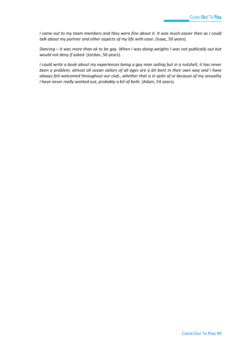*I came out to my team members and they were fine about it. It was much easier then as I could*  talk about my partner and other aspects of my life with ease. (Isaac, 50 years).

*Dancing – it was more than ok to be gay. When I was doing weights I was not publically out but would not deny if asked.* (Jordan, 50 years).

*I could write a book about my experiences being a gay man sailing but in a nutshell, it has never been a problem, almost all ocean sailors of all ages are a bit bent in their own way and I have always felt welcomed throughout our club…whether that is in spite of or because of my sexuality I have never really worked out, probably a bit of both.* (Adam, 54 years).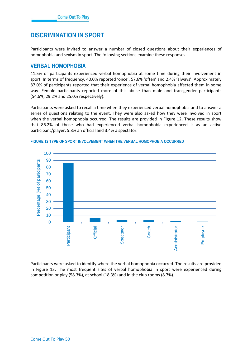# **DISCRIMINATION IN SPORT**

Participants were invited to answer a number of closed questions about their experiences of homophobia and sexism in sport. The following sections examine these responses.

### **VERBAL HOMOPHOBIA**

41.5% of participants experienced verbal homophobia at some time during their involvement in sport. In terms of frequency, 40.0% reported 'once', 57.6% 'often' and 2.4% 'always'. Approximately 87.0% of participants reported that their experience of verbal homophobia affected them in some way. Female participants reported more of this abuse than male and transgender participants (54.6%, 29.2% and 25.0% respectively).

Participants were asked to recall a time when they experienced verbal homophobia and to answer a series of questions relating to the event. They were also asked how they were involved in sport when the verbal homophobia occurred. The results are provided in Figure 12. These results show that 86.2% of those who had experienced verbal homophobia experienced it as an active participant/player, 5.8% an official and 3.4% a spectator.



#### **FIGURE 12 TYPE OF SPORT INVOLVEMENT WHEN THE VERBAL HOMOPHOBIA OCCURRED**

Participants were asked to identify where the verbal homophobia occurred. The results are provided in Figure 13. The most frequent sites of verbal homophobia in sport were experienced during competition or play (58.3%), at school (18.3%) and in the club rooms (8.7%).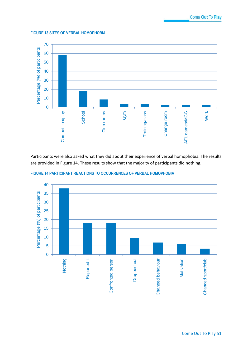#### **FIGURE 13 SITES OF VERBAL HOMOPHOBIA**



Participants were also asked what they did about their experience of verbal homophobia. The results are provided in Figure 14. These results show that the majority of participants did nothing.



**FIGURE 14 PARTICIPANT REACTIONS TO OCCURRENCES OF VERBAL HOMOPHOBIA**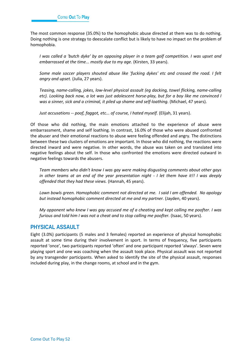The most common response (35.0%) to the homophobic abuse directed at them was to do nothing. Doing nothing is one strategy to deescalate conflict but is likely to have no impact on the problem of homophobia.

*I was called a 'butch dyke' by an opposing player in a team golf competition. I was upset and embarrassed at the time... mostly due to my age.* (Kirsten, 33 years).

*Some male soccer players shouted abuse like 'fucking dykes' etc and crossed the road. I felt angry and upset.* (Julia, 27 years).

*Teasing, name-calling, jokes, low-level physical assault (eg dacking, towel flicking, name-calling etc). Looking back now, a lot was just adolescent horse-play, but for a boy like me convinced I was a sinner, sick and a criminal, it piled up shame and self-loathing.* (Michael, 47 years).

*Just accusations -- poof, faggot, etc... of course, I hated myself.* (Elijah, 31 years).

Of those who did nothing, the main emotions attached to the experience of abuse were embarrassment, shame and self loathing. In contrast, 16.0% of those who were abused confronted the abuser and their emotional reactions to abuse were feeling offended and angry. The distinctions between these two clusters of emotions are important. In those who did nothing, the reactions were directed inward and were negative. In other words, the abuse was taken on and translated into negative feelings about the self. In those who confronted the emotions were directed outward in negative feelings towards the abusers.

*Team members who didn't know I was gay were making disgusting comments about other gays in other teams at an end of the year presentation night - I let them have it!! I was deeply offended that they had these views.* (Hannah, 45 years).

*Lawn bowls green. Homophobic comment not directed at me. I said I am offended. No apology but instead homophobic comment directed at me and my partner.* (Jayden, 40 years).

*My opponent who knew I was gay accused me of a cheating and kept calling me poofter. I was furious and told him I was not a cheat and to stop calling me poofter.* (Isaac, 50 years).

### **PHYSICAL ASSAULT**

Eight (3.0%) participants (5 males and 3 females) reported an experience of physical homophobic assault at some time during their involvement in sport. In terms of frequency, five participants reported 'once', two participants reported 'often' and one participant reported 'always'. Seven were playing sport and one was coaching when the assault took place. Physical assault was not reported by any transgender participants. When asked to identify the site of the physical assault, responses included during play, in the change rooms, at school and in the gym.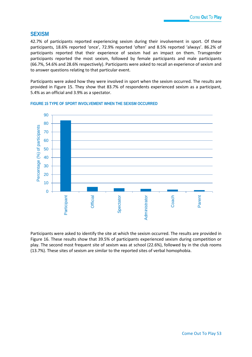### **SEXISM**

42.7% of participants reported experiencing sexism during their involvement in sport. Of these participants, 18.6% reported 'once', 72.9% reported 'often' and 8.5% reported 'always'. 86.2% of participants reported that their experience of sexism had an impact on them. Transgender participants reported the most sexism, followed by female participants and male participants (66.7%, 54.6% and 28.6% respectively). Participants were asked to recall an experience of sexism and to answer questions relating to that particular event.

Participants were asked how they were involved in sport when the sexism occurred. The results are provided in Figure 15. They show that 83.7% of respondents experienced sexism as a participant, 5.4% as an official and 3.9% as a spectator.



#### **FIGURE 15 TYPE OF SPORT INVOLVEMENT WHEN THE SEXISM OCCURRED**

Participants were asked to identify the site at which the sexism occurred. The results are provided in Figure 16. These results show that 39.5% of participants experienced sexism during competition or play. The second most frequent site of sexism was at school (22.6%), followed by in the club rooms (13.7%). These sites of sexism are similar to the reported sites of verbal homophobia.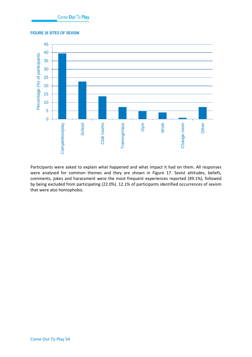**FIGURE 16 SITES OF SEXISM**



Participants were asked to explain what happened and what impact it had on them. All responses were analysed for common themes and they are shown in Figure 17. Sexist attitudes, beliefs, comments, jokes and harassment were the most frequent experiences reported (49.1%), followed by being excluded from participating (22.0%). 12.1% of participants identified occurrences of sexism that were also homophobic.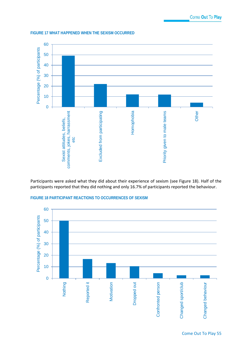



Participants were asked what they did about their experience of sexism (see Figure 18). Half of the participants reported that they did nothing and only 16.7% of participants reported the behaviour.



**FIGURE 18 PARTICIPANT REACTIONS TO OCCURRENCES OF SEXISM**

Come Out To Play 55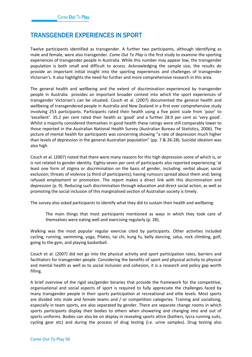# **TRANSGENDER EXPERIENCES IN SPORT**

Twelve participants identified as transgender. A further two participants, although identifying as male and female, were also transgender. *Come Out To Play* is the first study to examine the sporting experiences of transgender people in Australia. While this number may appear low, the transgender population is both small and difficult to access. Acknowledging the sample size, the results do provide an important initial insight into the sporting experiences and challenges of transgender Victorian's. It also highlights the need for further and more comprehensive research in this area.

The general health and wellbeing and the extent of discrimination experienced by transgender people in Australia provides an important broader context into which the sport experiences of transgender Victorian's can be situated. Couch et al. (2007) documented the general health and wellbeing of transgendered people in Australia and New Zealand in a first ever comprehensive study involving 253 participants. Participants rated their health using a five point scale from 'poor' to 'excellent'. 35.2 per cent rated their health as 'good' and a further 28.9 per cent as 'very good'. Whilst a majority considered themselves in good health these ratings were still comparably lower to those reported in the Australian National Health Survey (Australian Bureau of Statistics, 2006). The picture of mental health for participants was concerning showing "a rate of depression much higher than levels of depression in the general Australian population" (pp. 7 & 26-28). Suicidal ideation was also high.

Couch et al. (2007) noted that there were many reasons for this high depression some of which is, or is not related to gender identity. Eighty-seven per cent of participants also reported experiencing 'at least one form of stigma or discrimination on the basis of gender, including: verbal abuse; social exclusion; threats of violence (a third of participants); having rumours spread about them and; being refused employment or promotion. The report makes a direct link with this discrimination and depression (p. 9). Reducing such discrimination through education and direct social action, as well as promoting the social inclusion of this marginalised section of Australian society is timely.

The survey also asked participants to identify what they did to sustain their health and wellbeing:

The main things that most participants mentioned as ways in which they took care of themselves were eating well and exercising regularly (p. 28).

Walking was the most popular regular exercise cited by participants. Other activities included cycling, running, swimming, yoga, Pilates, tai chi, kung fu, belly dancing, salsa, rock climbing, golf, going to the gym, and playing basketball.

Couch et al. (2007) did not go into the physical activity and sport participation rates, barriers and facilitators for transgender people. Considering the benefits of sport and physical activity to physical and mental health as well as to social inclusion and cohesion, it is a research and policy gap worth filling.

A brief overview of the rigid sex/gender binaries that provide the framework for the competitive, organisational and social aspects of sport is required to fully appreciate the challenges faced by many transgender people in their sports participation at recreational and elite levels. Most sports are divided into male and female teams and / or competition categories. Training and socialising, especially in team sports, are also separated by gender. There are separate change rooms in which sports participants display their bodies to others when showering and changing into and out of sports uniforms. Bodies can also be on display in revealing sports attire (bathers, lycra running suits, cycling gear etc) and during the process of drug testing (i.e. urine samples). Drug testing also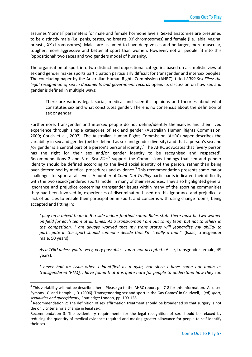assumes 'normal' parameters for male and female hormone levels. Sexed anatomies are presumed to be distinctly male (i.e. penis, testes, no breasts, XY chromosomes) and female (i.e. labia, vagina, breasts, XX chromosomes). Males are assumed to have deep voices and be larger, more muscular, tougher, more aggressive and better at sport than women. However, not all people fit into this 'oppositional' two sexes and two genders model of humanity.

The organisation of sport into two distinct and oppositional categories based on a simplistic view of sex and gender makes sports participation particularly difficult for transgender and intersex peoples. The concluding paper by the Australian Human Rights Commission (AHRC), titled *2009 Sex Files: the legal recognition of sex in documents and government records opens its discussion on how sex and* gender is defined in multiple ways:

There are various legal, social, medical and scientific opinions and theories about what constitutes sex and what constitutes gender. There is no consensus about the definition of sex or gender.

Furthermore, transgender and intersex people do not define/identify themselves and their lived experience through simple categories of sex and gender (Australian Human Rights Commission, 2009; Couch et al., 2007). The Australian Human Rights Commission (AHRC) paper describes the variability in sex and gender (better defined as sex and gender diversity) and that a person's sex and /or gender is a central part of a person's personal identity.<sup>[4](#page-58-0)</sup> The AHRC advocates that 'every person has the right for their sex and/or gender identity to be recognised and respected'. Recommendations 2 and 3 of *Sex Files*<sup>5</sup> support the Commissions findings that sex and gender identity should be defined according to the lived social identity of the person, rather than being over-determined by medical procedures and evidence.<sup>[5](#page-58-1)</sup> This recommendation presents some major challenges for sport at all levels. A number of *Come Out To Play* participants indicated their difficulty with the two sexed/gendered sports model in many of their responses. They also highlighted general ignorance and prejudice concerning transgender issues within many of the sporting communities they had been involved in, experiences of discrimination based on this ignorance and prejudice, a lack of policies to enable their participation in sport, and concerns with using change rooms, being accepted and fitting in:

*I play on a mixed team in 5-a-side indoor football comp. Rules state there must be two women on field for each team at all times. As a transwoman I am out to my team but not to others in the competition. I am always worried that my trans status will jeopardise my ability to participate in the sport should someone decide that I'm "really a man".* (Isaac, transgender male, 50 years).

*As a TGirl unless you're very, very passable - you're not accepted.* (Alice, transgender female, 49 years).

*I never had an issue when I identified as a dyke, but since I have come out again as transgendered (FTM), I have found that it is quite hard for people to understand how they can* 

<span id="page-58-0"></span> $4$  This variability will not be described here. Please go to the AHRC report pp. 7-8 for this information. Also see Symons , C. and Hemphill, D. (2006) 'Transgendering sex and sport in the Gay Games' in Caudwell, J (ed) *sport, sexualities and queer/theory*, Routledge: London, pp. 109-128.

<span id="page-58-1"></span><sup>&</sup>lt;sup>5</sup> Recommendation 2: The definition of sex affirmation treatment should be broadened so that surgery is not the only criteria for a change in legal sex.

Recommendation 3: The evidentiary requirements for the legal recognition of sex should be relaxed by reducing the quantity of medical evidence required and making greater allowance for people to self-identify their sex.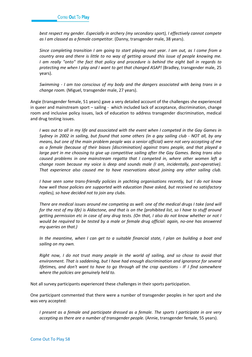*best respect my gender. Especially in archery (my secondary sport), I effectively cannot compete as I am classed as a female competitor.* (Danny, transgender male, 38 years).

*Since completing transition I am going to start playing next year. I am out, as I come from a country area and there is little to no way of getting around this issue of people knowing me. I am really "onto" the fact that policy and procedure is behind the eight ball in regards to protecting me when I play and I want to get that changed ASAP!* (Bradley, transgender male, 25 years).

*Swimming - I am too conscious of my body and the dangers associated with being trans in a change room.* (Miguel, transgender male, 27 years).

Angie (transgender female, 51 years) gave a very detailed account of the challenges she experienced in queer and mainstream sport – sailing - which included lack of acceptance, discrimination, change room and inclusive policy issues, lack of education to address transgender discrimination, medical and drug testing issues.

*I* was out to all in my life and associated with the event when I competed in the Gay Games in *Sydney in 2002 in sailing, but found that some others (in a gay sailing club - NOT all, by any means, but one of the main problem people was a senior official) were not very accepting of me as a female (because of their biases [discrimination] against trans people, and that played a large part in me choosing to give up competitive sailing after the Gay Games. Being trans also caused problems in one mainstream regatta that I competed in, where other women left a change room because my voice is deep and sounds male (I am, incidentally, post-operative). That experience also caused me to have reservations about joining any other sailing club.*

*I have seen some trans-friendly policies in yachting organisations recently, but I do not know how well those policies are supported with education (have asked, but received no satisfactory replies), so have decided not to join any clubs.*

*There are medical issues around me competing as well: one of the medical drugs I take (and will for the rest of my life) is Aldactone, and that is on the [prohibited list, so I have to stuff around getting permission etc in case of any drug tests. (On that, I also do not know whether or not I would be required to be tested by a male or female drug official: again, no-one has answered my queries on that.)*

*In the meantime, when I can get to a suitable financial state, I plan on building a boat and sailing on my own.*

*Right now, I do not trust many people in the world of sailing, and so chose to avoid that environment. That is saddening, but I have had enough discrimination and ignorance for several lifetimes, and don't want to have to go through all the crap questions - IF I find somewhere where the policies are genuinely held to.*

Not all survey participants experienced these challenges in their sports participation.

One participant commented that there were a number of transgender peoples in her sport and she was very accepted:

*I present as a female and participate dressed as a female. The sports I participate in are very accepting as there are a number of transgender people.* (Annie, transgender female, 55 years).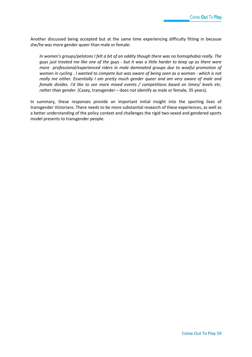Another discussed being accepted but at the same time experiencing difficulty fitting in because she/he was more gender queer than male or female:

*In women's groups/pelotons I felt a bit of an oddity though there was no homophobia really. The guys just treated me like one of the guys - but it was a little harder to keep up as there were more professional/experienced riders in male dominated groups due to woeful promotion of women in cycling . I wanted to compete but was aware of being seen as a woman - which is not really me either. Essentially I am pretty much gender queer and am very aware of male and female divides. I'd like to see more mixed events / competitions based on times/ levels etc. rather than gender.* (Casey, transgender – does not identify as male or female, 35 years).

In summary, these responses provide an important initial insight into the sporting lives of transgender Victorians. There needs to be more substantial research of these experiences, as well as a better understanding of the policy context and challenges the rigid two-sexed and gendered sports model presents to transgender people.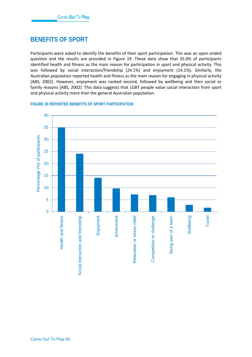# **BENEFITS OF SPORT**

Participants were asked to identify the benefits of their sport participation. This was an open ended question and the results are provided in Figure 19. These data show that 35.0% of participants identified health and fitness as the main reason for participation in sport and physical activity. This was followed by social interaction/friendship (24.1%) and enjoyment (14.1%). Similarly, the Australian population reported health and fitness as the main reason for engaging in physical activity (ABS, 2002). However, enjoyment was ranked second, followed by wellbeing and then social or family reasons (ABS, 2002). This data suggests that LGBT people value social interaction from sport and physical activity more than the general Australian population.

### **FIGURE 19 REPORTED BENEFITS OF SPORT PARTICIPATION**

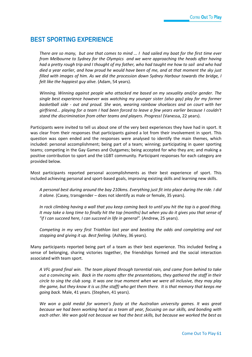## **BEST SPORTING EXPERIENCE**

*There are so many, but one that comes to mind ... I had sailed my boat for the first time ever from Melbourne to Sydney for the Olympics and we were approaching the heads after having had a pretty rough trip and I thought of my father, who had taught me how to sail and who had died a year earlier, and how proud he would have been of me, and at that moment the sky just filled with images of him. As we did the procession down Sydney Harbour towards the bridge, I felt like the happiest guy alive.* (Adam, 54 years).

*Winning. Winning against people who attacked me based on my sexuality and/or gender. The single best experience however was watching my younger sister (also gay) play for my former basketball side - out and proud. She won, wearing rainbow shoelaces and on court with her girlfriend... playing for a team I had been forced to leave a few years earlier because I couldn't stand the discrimination from other teams and players. Progress!* (Vanessa, 22 years).

Participants were invited to tell us about one of the very best experiences they have had in sport. It was clear from their responses that participants gained a lot from their involvement in sport. This question was open ended and the responses were analysed to identify the main themes, which included: personal accomplishment; being part of a team; winning; participating in queer sporting teams; competing in the Gay Games and Outgames; being accepted for who they are; and making a positive contribution to sport and the LGBT community. Participant responses for each category are provided below.

Most participants reported personal accomplishments as their best experience of sport. This included achieving personal and sport-based goals, improving existing skills and learning new skills.

*A personal best during around the bay 210kms. Everything just fit into place during the ride. I did it alone.* (Casey, transgender – does not identify as male or female, 35 years).

*In rock climbing having a wall that you keep coming back to until you hit the top is a good thing. It may take a long time to finally hit the top (months) but when you do it gives you that sense of "if I can succeed here, I can succeed in life in general".* (Andrew, 25 years).

*Competing in my very first Triathlon last year and beating the odds and completing and not stopping and giving it up. Best feeling.* (Ashley, 36 years).

Many participants reported being part of a team as their best experience. This included feeling a sense of belonging, sharing victories together, the friendships formed and the social interaction associated with team sport.

*A VFL grand final win. The team played through torrential rain, and came from behind to take out a convincing win. Back in the rooms after the presentations, they gathered the staff in their circle to sing the club song. It was one true moment when we were all inclusive, they may play the game, but they know it is us (the staff) who get them there. It is that memory that keeps me going back.* Male, 41 years. (Stephen, 41 years).

*We won a gold medal for women's footy at the Australian university games. It was great because we had been working hard as a team all year, focusing on our skills, and bonding with each other. We won gold not because we had the best skills, but because we worked the best as*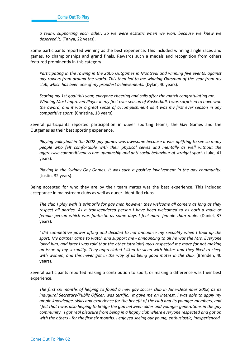*a team, supporting each other. So we were ecstatic when we won, because we knew we deserved it.* (Tanya, 22 years).

Some participants reported winning as the best experience. This included winning single races and games, to championships and grand finals. Rewards such a medals and recognition from others featured prominently in this category.

*Participating in the rowing in the 2006 Outgames in Montreal and winning five events, against gay rowers from around the world. This then led to me winning Oarsman of the year from my club, which has been one of my proudest achievements.* (Dylan, 40 years).

*Scoring my 1st goal this year, everyone cheering and calls after the match congratulating me. Winning Most Improved Player in my first ever season of Basketball. I was surprised to have won the award, and it was a great sense of accomplishment as it was my first ever season in any competitive sport.* (Christina, 18 years).

Several participants reported participation in queer sporting teams, the Gay Games and the Outgames as their best sporting experience.

*Playing volleyball in the 2002 gay games was awesome because it was uplifting to see so many people who felt comfortable with their physical selves and mentally as well without the aggressive competitiveness one-upmanship and anti-social behaviour of straight sport.* (Luke, 41 years).

*Playing in the Sydney Gay Games. It was such a positive involvement in the gay community.* (Justin, 32 years).

Being accepted for who they are by their team mates was the best experience. This included acceptance in mainstream clubs as well as queer- identified clubs.

*The club I play with is primarily for gay men however they welcome all comers as long as they respect all parties. As a transgendered person I have been welcomed to as both a male or female person which was fantastic as some days I feel more female than male.* (Daniel, 37 years).

*I* did competitive power lifting and decided to not announce my sexuality when I took up the *sport. My partner came to watch and support me - announcing to all he was the Mrs. Everyone loved him, and later I was told that the other (straight) guys respected me more for not making an issue of my sexuality. They appreciated I liked to sleep with blokes and they liked to sleep with women, and this never got in the way of us being good mates in the club.* (Brenden, 40 years).

Several participants reported making a contribution to sport, or making a difference was their best experience.

*The first six months of helping to found a new gay soccer club in June-December 2008, as its inaugural Secretary/Public Officer, was terrific. It gave me an interest, I was able to apply my ample knowledge, skills and experience for the benefit of the club and its younger members, and I felt that I was also helping to bridge the gap between older and younger generations in the gay community. I got real pleasure from being in a happy club where everyone respected and got on with the others - for the first six months. I enjoyed seeing our young, enthusiastic, inexperienced*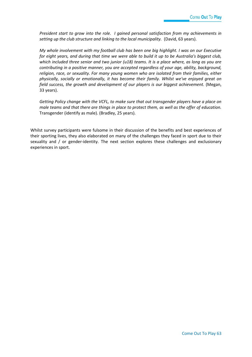*President start to grow into the role. I gained personal satisfaction from my achievements in setting up the club structure and linking to the local municipality.* (David, 63 years).

*My whole involvement with my football club has been one big highlight. I was on our Executive for eight years, and during that time we were able to build it up to be Australia's biggest club, which included three senior and two junior (u18) teams. It is a place where, as long as you are contributing in a positive manner, you are accepted regardless of your age, ability, background, religion, race, or sexuality. For many young women who are isolated from their families, either physically, socially or emotionally, it has become their family. Whilst we've enjoyed great on field success, the growth and development of our players is our biggest achievement.* (Megan, 33 years).

*Getting Policy change with the VCFL, to make sure that out transgender players have a place on male teams and that there are things in place to protect them, as well as the offer of education.* Transgender (identify as male). (Bradley, 25 years).

Whilst survey participants were fulsome in their discussion of the benefits and best experiences of their sporting lives, they also elaborated on many of the challenges they faced in sport due to their sexuality and / or gender-identity. The next section explores these challenges and exclusionary experiences in sport.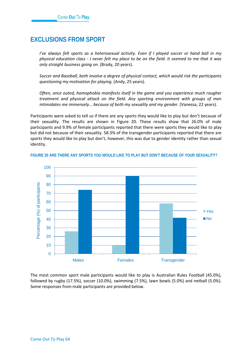## **EXCLUSIONS FROM SPORT**

*I've always felt sports as a heterosexual activity. Even if I played soccer or hand ball in my physical education class - I never felt my place to be on the field. It seemed to me that it was only straight business going on.* (Brady, 20 years).

*Soccer and Baseball, both involve a degree of physical contact, which would risk the participants questioning my motivation for playing.* (Andy, 25 years).

*Often, once outed, homophobia manifests itself in the game and you experience much rougher treatment and physical attack on the field. Any sporting environment with groups of men intimidates me immensely... because of both my sexuality and my gender.* (Vanessa, 22 years).

Participants were asked to tell us if there are any sports they would like to play but don't because of their sexuality. The results are shown in Figure 20. These results show that 26.0% of male participants and 9.9% of female participants reported that there were sports they would like to play but did not because of their sexuality. 58.3% of the transgender participants reported that there are sports they would like to play but don't, however, this was due to gender identity rather than sexual identity.



#### **FIGURE 20 ARE THERE ANY SPORTS YOU WOULD LIKE TO PLAY BUT DON'T BECAUSE OF YOUR SEXUALITY?**

The most common sport male participants would like to play is Australian Rules Football (45.0%), followed by rugby (17.5%), soccer (10.0%), swimming (7.5%), lawn bowls (5.0%) and netball (5.0%). Some responses from male participants are provided below.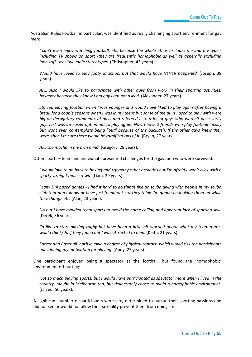Australian Rules Football in particular, was identified as really challenging sport environment for gay men:

*I can't even enjoy watching football, etc, because the whole ethos excludes me and my type including TV shows on sport -they are frequently homophobic as well as generally excluding 'non-tuff' sensitive male stereotypes.* (Christopher, 43 years).

*Would have loved to play footy at school but that would have NEVER happened.* (Joseph, 39 years).

*AFL. Also I would like to participate with other guys from work in their sporting activities, however because they know I am gay I am not asked.* (Alexander, 27 years).

*Started playing football when I was younger and would have liked to play again after having a break for a couple seasons when I was in my teens but some of the guys I used to play with were big on derogatory comments of gays and refereed it to a lot of guys who weren't necessarily gay. Just was an easier option not to play again. Now I have 2 friends who play football locally but wont even contemplate being "out" because of the backlash. If the other guys knew they were, then I'm sure there would be ramifications of it.* (Bryan, 27 years).

*AFL too macho in my own mind.* (Gregory, 28 years).

Other sports – team and individual - presented challenges for the gay men who were surveyed:

*I would love to go back to boxing and try many other activities but I'm afraid I won't click with a sporty straight male crowd.* (Liam, 29 years).

*Many Uni based games - I find it hard to do things like go scuba diving with people in my scuba club that don't know or have just found out coz they think I'm gonna be looking them up while they change etc.* (Alan, 23 years).

*No but I have avoided team sports to avoid the name calling and apparent lack of sporting skill.*  (Derek, 56 years).

*I'd like to start playing rugby but have been a little bit worried about what my team-mates would think/do if they found out I was attracted to men.* (Keith, 21 years).

*Soccer and Baseball, both involve a degree of physical contact, which would risk the participants questioning my motivation for playing.* (Andy, 25 years).

One participant enjoyed being a spectator at the football, but found the 'homophobic' environment off putting:

*Not so much playing sports, but I would have participated as spectator more when I lived in the country, maybe in Melbourne too, but deliberately chose to avoid a homophobic environment.*  (Jarred, 56 years).

A significant number of participants were very determined to pursue their sporting passions and did not see or would not allow their sexuality prevent them from doing so: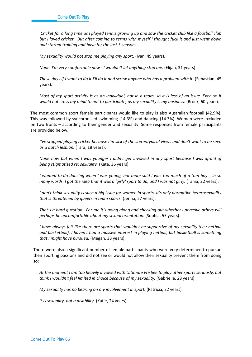*Cricket for a long time as I played tennis growing up and saw the cricket club like a football club but I loved cricket. But after coming to terms with myself I thought fuck it and just went down and started training and have for the last 3 seasons.*

*My sexuality would not stop me playing any sport.* (Ivan, 49 years).

*None. I'm very comfortable now - I wouldn't let anything stop me.* (Elijah, 31 years).

*These days if I want to do it I'll do it and screw anyone who has a problem with it.* (Sebastian, 45 years).

*Most of my sport activity is as an individual, not in a team, so it is less of an issue. Even so it would not cross my mind to not to participate, as my sexuality is my business.* (Brock, 60 years).

The most common sport female participants would like to play is also Australian football (42.9%). This was followed by synchronised swimming (14.3%) and dancing (14.3%). Women were excluded on two fronts – according to their gender and sexuality. Some responses from female participants are provided below.

*I've stopped playing cricket because I'm sick of the stereotypical views and don't want to be seen as a butch lesbian.* (Tara, 18 years).

*None now but when I was younger I didn't get involved in any sport because I was afraid of being stigmatised re: sexuality.* (Kate, 36 years).

*I wanted to do dancing when I was young, but mum said I was too much of a tom boy... in so many words. I got the idea that it was a 'girly' sport to do, and I was not girly.* (Tania, 22 years).

*I don't think sexuality is such a big issue for women in sports. It's only normative heterosexuality that is threatened by queers in team sports.* (Jenna, 27 years).

*That's a hard question. For me it's going along and checking out whether I perceive others will perhaps be uncomfortable about my sexual orientation.* (Sophia, 55 years).

*I have always felt like there are sports that wouldn't be supportive of my sexuality (i.e.: netball and basketball). I haven't had a massive interest in playing netball, but basketball is something that I might have pursued.* (Megan, 33 years).

There were also a significant number of female participants who were very determined to pursue their sporting passions and did not see or would not allow their sexuality prevent them from doing so:

*At the moment I am too heavily involved with Ultimate Frisbee to play other sports seriously, but think I wouldn't feel limited in choice because of my sexuality.* (Gabrielle, 28 years).

*My sexuality has no bearing on my involvement in sport.* (Patricia, 22 years).

*It is sexuality, not a disability.* (Katie, 24 years).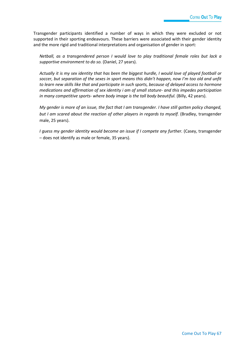Transgender participants identified a number of ways in which they were excluded or not supported in their sporting endeavours. These barriers were associated with their gender identity and the more rigid and traditional interpretations and organisation of gender in sport:

*Netball, as a transgendered person I would love to play traditional female roles but lack a supportive environment to do so.* (Daniel, 27 years).

*Actually it is my sex identity that has been the biggest hurdle, I would love of played football or soccer, but separation of the sexes in sport means this didn't happen, now I'm too old and unfit to learn new skills like that and participate in such sports, because of delayed access to hormone medications and affirmation of sex identity i am of small stature- and this impedes participation in many competitive sports- where body image is the tall body beautiful.* (Billy, 42 years).

*My gender is more of an issue, the fact that I am transgender. I have still gotten policy changed, but I am scared about the reaction of other players in regards to myself.* (Bradley, transgender male, 25 years).

*I guess my gender identity would become an issue if I compete any further.* (Casey, transgender – does not identify as male or female, 35 years).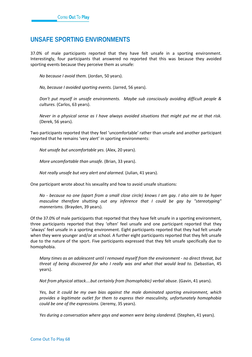### **UNSAFE SPORTING ENVIRONMENTS**

37.0% of male participants reported that they have felt unsafe in a sporting environment. Interestingly, four participants that answered no reported that this was because they avoided sporting events because they perceive them as unsafe:

*No because I avoid them.* (Jordan, 50 years).

*No, because I avoided sporting events.* (Jarred, 56 years).

*Don't put myself in unsafe environments. Maybe sub consciously avoiding difficult people & cultures.* (Carlos, 63 years).

*Never in a physical sense as I have always avoided situations that might put me at that risk.* (Derek, 56 years).

Two participants reported that they feel 'uncomfortable' rather than unsafe and another participant reported that he remains 'very alert' in sporting environments:

*Not unsafe but uncomfortable yes.* (Alex, 20 years).

*More uncomfortable than unsafe.* (Brian, 33 years).

*Not really unsafe but very alert and alarmed.* (Julian, 41 years).

One participant wrote about his sexuality and how to avoid unsafe situations:

*No - because no one (apart from a small close circle) knows I am gay. I also aim to be hyper masculine therefore shutting out any inference that I could be gay by "stereotyping" mannerisms.* (Brayden, 39 years).

Of the 37.0% of male participants that reported that they have felt unsafe in a sporting environment, three participants reported that they 'often' feel unsafe and one participant reported that they 'always' feel unsafe in a sporting environment. Eight participants reported that they had felt unsafe when they were younger and/or at school. A further eight participants reported that they felt unsafe due to the nature of the sport. Five participants expressed that they felt unsafe specifically due to homophobia.

*Many times as an adolescent until I removed myself from the environment - no direct threat, but threat of being discovered for who I really was and what that would lead to.* (Sebastian, 45 years).

*Not from physical attack....but certainly from (homophobic) verbal abuse.* (Gavin, 41 years).

*Yes, but it could be my own bias against the male dominated sporting environment, which provides a legitimate outlet for them to express their masculinity, unfortunately homophobia could be one of the expressions.* (Jeremy, 35 years).

*Yes during a conversation where gays and women were being slandered.* (Stephen, 41 years).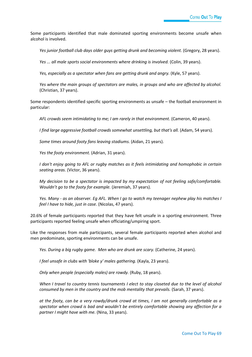Some participants identified that male dominated sporting environments become unsafe when alcohol is involved.

*Yes junior football club days older guys getting drunk and becoming violent.* (Gregory, 28 years).

*Yes ... all male sports social environments where drinking is involved.* (Colin, 39 years).

*Yes, especially as a spectator when fans are getting drunk and angry.* (Kyle, 57 years).

*Yes where the main groups of spectators are males, in groups and who are affected by alcohol.* (Christian, 37 years).

Some respondents identified specific sporting environments as unsafe – the football environment in particular:

*AFL crowds seem intimidating to me; I am rarely in that environment.* (Cameron, 40 years).

*I find large aggressive football crowds somewhat unsettling, but that's all.* (Adam, 54 years).

*Some times around footy fans leaving stadiums.* (Aidan, 21 years).

*Yes the footy environment.* (Adrian, 31 years).

*I don't enjoy going to AFL or rugby matches as it feels intimidating and homophobic in certain seating areas.* (Victor, 36 years).

*My decision to be a spectator is impacted by my expectation of not feeling safe/comfortable. Wouldn't go to the footy for example.* (Jeremiah, 37 years).

*Yes. Many - as an observer. Eg AFL. When I go to watch my teenager nephew play his matches I feel I have to hide, just in case.* (Nicolas, 47 years).

20.6% of female participants reported that they have felt unsafe in a sporting environment. Three participants reported feeling unsafe when officiating/umpiring sport.

Like the responses from male participants, several female participants reported when alcohol and men predominate, sporting environments can be unsafe.

*Yes. During a big rugby game. Men who are drunk are scary.* (Catherine, 24 years).

*I feel unsafe in clubs with 'bloke y' males gathering.* (Kayla, 23 years).

*Only when people (especially males) are rowdy.* (Ruby, 18 years).

*When I travel to country tennis tournaments I elect to stay closeted due to the level of alcohol consumed by men in the country and the mob mentality that prevails.* (Sarah, 37 years).

*at the footy, can be a very rowdy/drunk crowd at times, I am not generally comfortable as a spectator when crowd is bad and wouldn't be entirely comfortable showing any affection for a partner I might have with me.* (Nina, 33 years).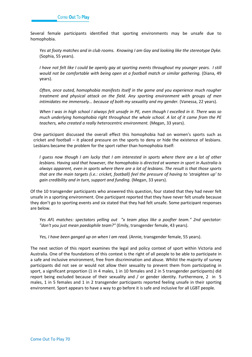Several female participants identified that sporting environments may be unsafe due to homophobia.

*Yes at footy matches and in club rooms. Knowing I am Gay and looking like the stereotype Dyke.* (Sophia, 55 years).

*I have not felt like I could be openly gay at sporting events throughout my younger years. I still would not be comfortable with being open at a football match or similar gathering.* (Diana, 49 years).

*Often, once outed, homophobia manifests itself in the game and you experience much rougher treatment and physical attack on the field. Any sporting environment with groups of men intimidates me immensely... because of both my sexuality and my gender.* (Vanessa, 22 years).

*When I was in high school I always felt unsafe in PE, even though I excelled in it. There was so much underlying homophobia right throughout the whole school. A lot of it came from the PE teachers, who created a really heterocentric environment.* (Megan, 33 years).

One participant discussed the overall effect this homophobia had on women's sports such as cricket and football – it placed pressure on the sports to deny or hide the existence of lesbians. Lesbians became the problem for the sport rather than homophobia itself:

*I guess now though I am lucky that I am interested in sports where there are a lot of other lesbians. Having said that however, the homophobia is directed at women in sport in Australia is always apparent, even in sports where there are a lot of lesbians. The result is that those sports that are the main targets (i.e.: cricket, football) feel the pressure of having to 'straighten up' to gain credibility and in turn, support and funding.* (Megan, 33 years).

Of the 10 transgender participants who answered this question, four stated that they had never felt unsafe in a sporting environment. One participant reported that they have never felt unsafe because they don't go to sporting events and six stated that they had felt unsafe. Some participant responses are below.

*Yes AFL matches: spectators yelling out "x team plays like a poofter team." 2nd spectator: "don't you just mean paedophile team?"* (Emily, transgender female, 43 years).

*Yes, I have been ganged up on when I am read.* (Annie, transgender female, 55 years).

The next section of this report examines the legal and policy context of sport within Victoria and Australia. One of the foundations of this context is the right of all people to be able to participate in a safe and inclusive environment, free from discrimination and abuse. Whilst the majority of survey participants did not see or would not allow their sexuality to prevent them from participating in sport, a significant proportion (1 in 4 males, 1 in 10 females and 2 in 5 transgender participants) did report being excluded because of their sexuality and / or gender identity. Furthermore, 2 in 5 males, 1 in 5 females and 1 in 2 transgender participants reported feeling unsafe in their sporting environment. Sport appears to have a way to go before it is safe and inclusive for all LGBT people.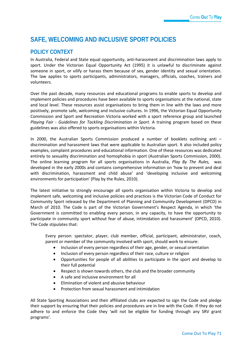# **SAFE, WELCOMING AND INCLUSIVE SPORT POLICIES**

### **POLICY CONTEXT**

In Australia, Federal and State equal opportunity, anti-harassment and discrimination laws apply to sport. Under the Victorian Equal Opportunity Act (1995) it is unlawful to discriminate against someone in sport, or vilify or harass them because of sex, gender identity and sexual orientation. The law applies to sports participants, administrators, managers, officials, coaches, trainers and volunteers.

Over the past decade, many resources and educational programs to enable sports to develop and implement policies and procedures have been available to sports organisations at the national, state and local level. These resources assist organisations to bring them in line with the laws and more positively, promote safe, welcoming and inclusive cultures. In 1996, the Victorian Equal Opportunity Commission and Sport and Recreation Victoria worked with a sport reference group and launched *Playing Fair* - *Guidelines for Tackling Discrimination in Sport*. A training program based on these guidelines was also offered to sports organisations within Victoria.

In 2000, the Australian Sports Commission produced a number of booklets outlining anti – discrimination and harassment laws that were applicable to Australian sport. It also included policy examples, complaint procedures and educational information. One of these resources was dedicated entirely to sexuality discrimination and homophobia in sport (Australian Sports Commission, 2000). The online learning program for all sports organisations in Australia, *Play By The Rules,* was developed in the early 2000s and contains comprehensive information on 'how to prevent and deal with discrimination, harassment and child abuse' and 'developing inclusive and welcoming environments for participation' (Play by the Rules, 2010).

The latest initiative to strongly encourage all sports organisation within Victoria to develop and implement safe, welcoming and inclusive policies and practices is the Victorian Code of Conduct for Community Sport released by the Department of Planning and Community Development (DPCD) in March of 2010. The Code is part of the Victorian Government's Respect Agenda, in which 'the Government is committed to enabling every person, in any capacity, to have the opportunity to participate in community sport without fear of abuse, intimidation and harassment' (DPCD, 2010). The Code stipulates that:

Every person: spectator, player, club member, official, participant, administrator, coach, parent or member of the community involved with sport, should work to ensure:

- Inclusion of every person regardless of their age, gender, or sexual orientation
- Inclusion of every person regardless of their race, culture or religion
- Opportunities for people of all abilities to participate in the sport and develop to their full potential
- Respect is shown towards others, the club and the broader community
- A safe and inclusive environment for all
- Elimination of violent and abusive behaviour
- Protection from sexual harassment and intimidation

All State Sporting Associations and their affiliated clubs are expected to sign the Code and pledge their support by ensuring that their policies and procedures are in line with the Code. If they do not adhere to and enforce the Code they 'will not be eligible for funding through any SRV grant programs'.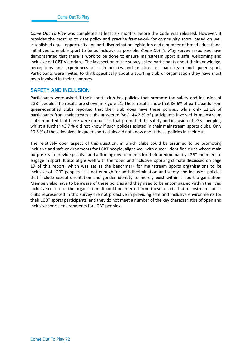*Come Out To Play* was completed at least six months before the Code was released. However, it provides the most up to date policy and practice framework for community sport, based on well established equal opportunity and anti-discrimination legislation and a number of broad educational initiatives to enable sport to be as inclusive as possible. *Come Out To Play* survey responses have demonstrated that there is work to be done to ensure mainstream sport is safe, welcoming and inclusive of LGBT Victorians. The last section of the survey asked participants about their knowledge, perceptions and experiences of such policies and practices in mainstream and queer sport. Participants were invited to think specifically about a sporting club or organisation they have most been involved in their responses.

### **SAFETY AND INCLUSION**

Participants were asked if their sports club has policies that promote the safety and inclusion of LGBT people. The results are shown in Figure 21. These results show that 86.6% of participants from queer-identified clubs reported that their club does have these policies, while only 12.1% of participants from mainstream clubs answered 'yes'. 44.2 % of participants involved in mainstream clubs reported that there were no policies that promoted the safety and inclusion of LGBT peoples, whilst a further 43.7 % did not know if such policies existed in their mainstream sports clubs. Only 10.8 % of those involved in queer sports clubs did not know about these policies in their club.

The relatively open aspect of this question, in which clubs could be assumed to be promoting inclusive and safe environments for LGBT people, aligns well with queer- identified clubs whose main purpose is to provide positive and affirming environments for their predominantly LGBT members to engage in sport. It also aligns well with the 'open and inclusive' sporting climate discussed on page 19 of this report, which was set as the benchmark for mainstream sports organisations to be inclusive of LGBT peoples. It is not enough for anti-discrimination and safety and inclusion policies that include sexual orientation and gender identity to merely exist within a sport organisation. Members also have to be aware of these policies and they need to be encompassed within the lived inclusive culture of the organisation. It could be inferred from these results that mainstream sports clubs represented in this survey are not proactive in providing safe and inclusive environments for their LGBT sports participants, and they do not meet a number of the key characteristics of open and inclusive sports environments for LGBT peoples.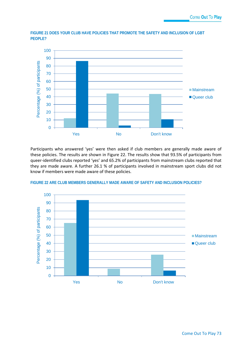

**FIGURE 21 DOES YOUR CLUB HAVE POLICIES THAT PROMOTE THE SAFETY AND INCLUSION OF LGBT PEOPLE?**

Participants who answered 'yes' were then asked if club members are generally made aware of these policies. The results are shown in Figure 22. The results show that 93.5% of participants from queer-identified clubs reported 'yes' and 65.2% of participants from mainstream clubs reported that they are made aware. A further 26.1 % of participants involved in mainstream sport clubs did not know if members were made aware of these policies.



**FIGURE 22 ARE CLUB MEMBERS GENERALLY MADE AWARE OF SAFETY AND INCLUSION POLICIES?**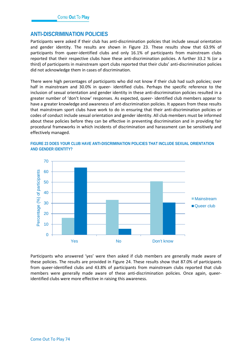### **ANTI-DISCRIMINATION POLICIES**

Participants were asked if their club has anti-discrimination policies that include sexual orientation and gender identity. The results are shown in Figure 23. These results show that 63.9% of participants from queer-identified clubs and only 16.1% of participants from mainstream clubs reported that their respective clubs have these anti-discrimination policies. A further 33.2 % (or a third) of participants in mainstream sport clubs reported that their clubs' anti-discrimination policies did not acknowledge them in cases of discrimination.

There were high percentages of participants who did not know if their club had such policies; over half in mainstream and 30.0% in queer- identified clubs. Perhaps the specific reference to the inclusion of sexual orientation and gender identity in these anti-discrimination policies resulted in a greater number of 'don't know' responses. As expected, queer- identified club members appear to have a greater knowledge and awareness of ant-discrimination policies. It appears from these results that mainstream sport clubs have work to do in ensuring that their anti-discrimination policies or codes of conduct include sexual orientation and gender identity. All club members must be informed about these policies before they can be effective in preventing discrimination and in providing fair procedural frameworks in which incidents of discrimination and harassment can be sensitively and effectively managed.



#### **FIGURE 23 DOES YOUR CLUB HAVE ANTI-DISCRIMINATION POLICIES THAT INCLUDE SEXUAL ORIENTATION AND GENDER IDENTITY?**

Participants who answered 'yes' were then asked if club members are generally made aware of these policies. The results are provided in Figure 24. These results show that 87.0% of participants from queer-identified clubs and 43.8% of participants from mainstream clubs reported that club members were generally made aware of these anti-discrimination policies. Once again, queeridentified clubs were more effective in raising this awareness.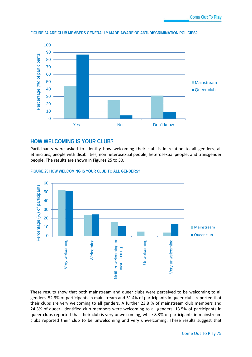

#### **FIGURE 24 ARE CLUB MEMBERS GENERALLY MADE AWARE OF ANTI-DISCRIMINATION POLICIES?**

### **HOW WELCOMING IS YOUR CLUB?**

Participants were asked to identify how welcoming their club is in relation to all genders, all ethnicities, people with disabilities, non heterosexual people, heterosexual people, and transgender people. The results are shown in Figures 25 to 30.



#### **FIGURE 25 HOW WELCOMING IS YOUR CLUB TO ALL GENDERS?**

These results show that both mainstream and queer clubs were perceived to be welcoming to all genders. 52.3% of participants in mainstream and 51.4% of participants in queer clubs reported that their clubs are very welcoming to all genders. A further 23.8 % of mainstream club members and 24.3% of queer- identified club members were welcoming to all genders. 13.5% of participants in queer clubs reported that their club is very unwelcoming, while 8.3% of participants in mainstream clubs reported their club to be unwelcoming and very unwelcoming. These results suggest that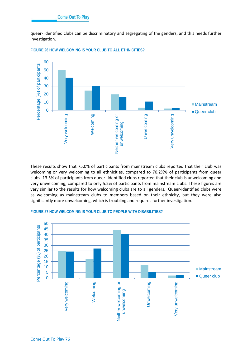queer- identified clubs can be discriminatory and segregating of the genders, and this needs further investigation.



**FIGURE 26 HOW WELCOMING IS YOUR CLUB TO ALL ETHNICITIES?**

These results show that 75.0% of participants from mainstream clubs reported that their club was welcoming or very welcoming to all ethnicities, compared to 70.2%% of participants from queer clubs. 13.5% of participants from queer- identified clubs reported that their club is unwelcoming and very unwelcoming, compared to only 5.2% of participants from mainstream clubs. These figures are very similar to the results for how welcoming clubs are to all genders. Queer-identified clubs were as welcoming as mainstream clubs to members based on their ethnicity, but they were also significantly more unwelcoming, which is troubling and requires further investigation.



#### **FIGURE 27 HOW WELCOMING IS YOUR CLUB TO PEOPLE WITH DISABILITIES?**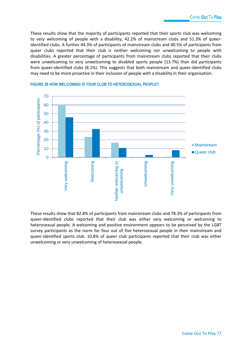These results show that the majority of participants reported that their sports club was welcoming to very welcoming of people with a disability; 42.2% of mainstream clubs and 51.3% of queeridentified clubs. A further 44.3% of participants of mainstream clubs and 40.5% of participants from queer clubs reported that their club is neither welcoming nor unwelcoming to people with disabilities. A greater percentage of participants from mainstream clubs reported that their clubs were unwelcoming to very unwelcoming to disabled sports people (13.7%) than did participants from queer-identified clubs (8.1%). This suggests that both mainstream and queer-identified clubs may need to be more proactive in their inclusion of people with a disability in their organisation.



#### **FIGURE 28 HOW WELCOMING IS YOUR CLUB TO HETEROSEXUAL PEOPLE?**

These results show that 82.8% of participants from mainstream clubs and 78.3% of participants from queer-identified clubs reported that their club was either very welcoming or welcoming to heterosexual people. A welcoming and positive environment appears to be perceived by the LGBT survey participants as the norm for four out of five heterosexual people in their mainstream and queer-identified sports club. 10.8% of queer club participants reported that their club was either unwelcoming or very unwelcoming of heterosexual people.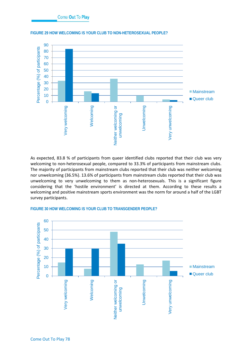

#### **FIGURE 29 HOW WELCOMING IS YOUR CLUB TO NON-HETEROSEXUAL PEOPLE?**

As expected, 83.8 % of participants from queer identified clubs reported that their club was very welcoming to non-heterosexual people, compared to 33.3% of participants from mainstream clubs. The majority of participants from mainstream clubs reported that their club was neither welcoming nor unwelcoming (36.5%). 13.6% of participants from mainstream clubs reported that their club was unwelcoming to very unwelcoming to them as non-heterosexuals. This is a significant figure considering that the 'hostile environment' is directed at them. According to these results a welcoming and positive mainstream sports environment was the norm for around a half of the LGBT survey participants.



#### **FIGURE 30 HOW WELCOMING IS YOUR CLUB TO TRANSGENDER PEOPLE?**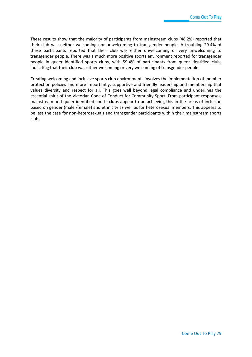These results show that the majority of participants from mainstream clubs (48.2%) reported that their club was neither welcoming nor unwelcoming to transgender people. A troubling 29.4% of these participants reported that their club was either unwelcoming or very unwelcoming to transgender people. There was a much more positive sports environment reported for transgender people in queer identified sports clubs, with 59.4% of participants from queer-identified clubs indicating that their club was either welcoming or very welcoming of transgender people.

Creating welcoming and inclusive sports club environments involves the implementation of member protection policies and more importantly, supportive and friendly leadership and membership that values diversity and respect for all. This goes well beyond legal compliance and underlines the essential spirit of the Victorian Code of Conduct for Community Sport. From participant responses, mainstream and queer identified sports clubs appear to be achieving this in the areas of inclusion based on gender (male /female) and ethnicity as well as for heterosexual members. This appears to be less the case for non-heterosexuals and transgender participants within their mainstream sports club.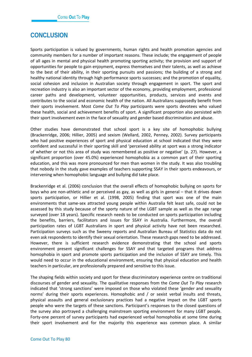## **CONCLUSION**

Sports participation is valued by governments, human rights and health promotion agencies and community members for a number of important reasons. These include; the engagement of people of all ages in mental and physical health promoting sporting activity; the provision and support of opportunities for people to gain enjoyment, express themselves and their talents, as well as achieve to the best of their ability, in their sporting pursuits and passions; the building of a strong and healthy national identity through high performance sports successes; and the promotion of equality, social cohesion and inclusion in Australian society through engagement in sport. The sport and recreation industry is also an important sector of the economy, providing employment, professional career paths and development, volunteer opportunities, products, services and events and contributes to the social and economic health of the nation. All Australians supposedly benefit from their sports involvement. Most *Come Out To Play* participants were sports devotees who valued these health, social and achievement benefits of sport. A significant proportion also persisted with their sport involvement even in the face of sexuality and gender based discrimination and abuse.

Other studies have demonstrated that school sport is a key site of homophobic bullying (Brackenridge, 2006; Hillier, 2005) and sexism (Wellard, 2002, Penney, 2002). Survey participants who had positive experiences of sport and physical education at school indicated that they were confident and successful in their sporting skill and 'perceived ability at sport was a strong indicator of whether or not this area of study was remembered as positive or negative' (p. 27). However, a significant proportion (over 45.0%) experienced homophobia as a common part of their sporting education, and this was more pronounced for men than women in the study. It was also troubling that nobody in the study gave examples of teachers supporting SSAY in their sports endeavours, or intervening when homophobic language and bullying did take place.

Brackenridge et al. (2006) conclusion that the overall effects of homophobic bullying on sports for boys who are non-athletic and or perceived as gay, as well as girls in general – that it drives down sports participation, or Hillier et al. (1998, 2005) finding that sport was one of the main environments that same-sex attracted young people within Australia felt least safe, could not be assessed by this study because of the sporty nature of the LGBT sample as well as the age range surveyed (over 18 years). Specific research needs to be conducted on sports participation including the benefits, barriers, facilitators and issues for SSAY in Australia. Furthermore, the overall participation rates of LGBT Australians in sport and physical activity have not been researched. Participation surveys such as the Sweeny reports and Australian Bureau of Statistics data do not even ask respondents to identify their sexual orientation. These research gaps need to be addressed. However, there is sufficient research evidence demonstrating that the school and sports environment present significant challenges for SSAY and that targeted programs that address homophobia in sport and promote sports participation and the inclusion of SSAY are timely. This would need to occur in the educational environment, ensuring that physical education and health teachers in particular, are professionally prepared and sensitive to this issue.

The shaping fields within society and sport for these discriminatory experience centre on traditional discourses of gender and sexuality. The qualitative responses from the *Come Out To Play* research indicated that 'strong sanctions' were imposed on those who violated these 'gender and sexuality norms' during their sports experiences. Homophobic and / or sexist verbal insults and threats, physical assaults and general exclusionary practices had a negative impact on the LGBT sports people who were the targets of these sanctions. Participant's responses to the closed questions of the survey also portrayed a challenging mainstream sporting environment for many LGBT people. Forty-one percent of survey participants had experienced verbal homophobia at some time during their sport involvement and for the majority this experience was common place. A similar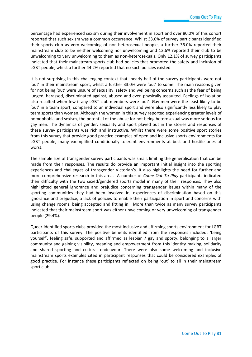percentage had experienced sexism during their involvement in sport and over 80.0% of this cohort reported that such sexism was a common occurrence. Whilst 33.0% of survey participants identified their sports club as very welcoming of non-heterosexual people, a further 36.0% reported their mainstream club to be neither welcoming nor unwelcoming and 13.6% reported their club to be unwelcoming to very unwelcoming to them as non-heterosexuals. Only 12.1% of survey participants indicated that their mainstream sports club had policies that promoted the safety and inclusion of LGBT people, whilst a further 44.2% reported that no such policies existed.

It is not surprising in this challenging context that nearly half of the survey participants were not 'out' in their mainstream sport, whilst a further 33.0% were 'out' to some. The main reasons given for not being 'out' were unsure of sexuality, safety and wellbeing concerns such as the fear of being judged, harassed, discriminated against, abused and even physically assaulted. Feelings of isolation also resulted when few if any LGBT club members were 'out'. Gay men were the least likely to be 'out' in a team sport, compared to an individual sport and were also significantly less likely to play team sports than women. Although the women in this survey reported experiencing greater levels of homophobia and sexism, the potential of the abuse for not being heterosexual was more serious for gay men. The dynamics of gender, sexuality and sport played out in the stories and responses of these survey participants was rich and instructive. Whilst there were some positive sport stories from this survey that provide good practice examples of open and inclusive sports environments for LGBT people, many exemplified conditionally tolerant environments at best and hostile ones at worst.

The sample size of transgender survey participants was small, limiting the generalisation that can be made from their responses. The results do provide an important initial insight into the sporting experiences and challenges of transgender Victorian's. It also highlights the need for further and more comprehensive research in this area. A number of *Come Out To Play* participants indicated their difficulty with the two sexed/gendered sports model in many of their responses. They also highlighted general ignorance and prejudice concerning transgender issues within many of the sporting communities they had been involved in, experiences of discrimination based on this ignorance and prejudice, a lack of policies to enable their participation in sport and concerns with using change rooms, being accepted and fitting in. More than twice as many survey participants indicated that their mainstream sport was either unwelcoming or very unwelcoming of transgender people (29.4%).

Queer-identified sports clubs provided the most inclusive and affirming sports environment for LGBT participants of this survey. The positive benefits identified from the responses included: 'being yourself', feeling safe, supported and affirmed as lesbian / gay and sporty, belonging to a larger community and gaining visibility, meaning and empowerment from this identity making, solidarity and shared sporting and cultural endeavour. There were also some welcoming and inclusive mainstream sports examples cited in participant responses that could be considered examples of good practice. For instance these participants reflected on being 'out' to all in their mainstream sport club: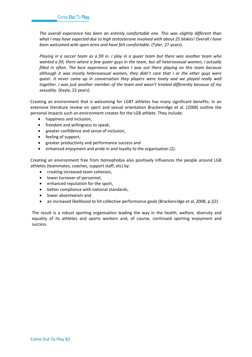*The overall experience has been an entirely comfortable one. This was slightly different than what I may have expected due to high testosterone involved with about 25 blokes! Overall I have been welcomed with open arms and have felt comfortable.* (Tyler, 27 years).

*Playing in a soccer team as a fill in. I play in a queer team but there was another team who wanted a fill, there where a few queer guys in the team, but all heterosexual women, I actually filled in often. The best experience was when I was out there playing on this team because although it was mostly heterosexual women, they didn't care that I or the other guys were queer. It never came up in conversation they players were lovely and we played really well together. I was just another member of the team and wasn't treated differently because of my sexuality.* (Kayla, 23 years).

Creating an environment that is welcoming for LGBT athletes has many significant benefits. In an extensive literature review on sport and sexual orientation Brackenridge et al. (2008) outline the personal impacts such an environment creates for the LGB athlete. They include:

- happiness and inclusion,
- freedom and willingness to speak,
- greater confidence and sense of inclusion,
- feeling of support,
- greater productivity and performance success and
- enhanced enjoyment and pride in and loyalty to the organisation (2).

Creating an environment free from homophobia also positively influences the people around LGB athletes (teammates, coaches, support staff, etc) by:

- creating increased team cohesion,
- lower turnover of personnel,
- enhanced reputation for the sport.
- better compliance with national standards,
- lower absenteeism and
- an increased likelihood to hit collective performance goals (Brackenridge et al, 2008, p.)(2).

The result is a robust sporting organisation leading the way in the health, welfare, diversity and equality of its athletes and sports workers and, of course, continued sporting enjoyment and success.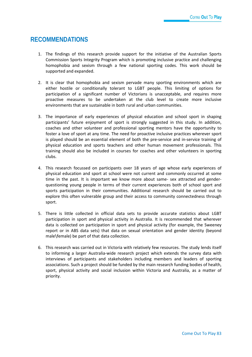## **RECOMMENDATIONS**

- 1. The findings of this research provide support for the initiative of the Australian Sports Commission Sports Integrity Program which is promoting inclusive practice and challenging homophobia and sexism through a few national sporting codes. This work should be supported and expanded.
- 2. It is clear that homophobia and sexism pervade many sporting environments which are either hostile or conditionally tolerant to LGBT people. This limiting of options for participation of a significant number of Victorians is unacceptable, and requires more proactive measures to be undertaken at the club level to create more inclusive environments that are sustainable in both rural and urban communities.
- 3. The importance of early experiences of physical education and school sport in shaping participants' future enjoyment of sport is strongly suggested in this study. In addition, coaches and other volunteer and professional sporting mentors have the opportunity to foster a love of sport at any time. The need for proactive inclusive practices wherever sport is played should be an essential element of both the pre-service and in-service training of physical education and sports teachers and other human movement professionals. This training should also be included in courses for coaches and other volunteers in sporting clubs.
- 4. This research focussed on participants over 18 years of age whose early experiences of physical education and sport at school were not current and commonly occurred at some time in the past. It is important we know more about same- sex attracted and genderquestioning young people in terms of their current experiences both of school sport and sports participation in their communities. Additional research should be carried out to explore this often vulnerable group and their access to community connectedness through sport.
- 5. There is little collected in official data sets to provide accurate statistics about LGBT participation in sport and physical activity in Australia. It is recommended that wherever data is collected on participation in sport and physical activity (for example, the Sweeney report or in ABS data sets) that data on sexual orientation and gender identity (beyond male\female) be part of that data collection.
- 6. This research was carried out in Victoria with relatively few resources. The study lends itself to informing a larger Australia-wide research project which extends the survey data with interviews of participants and stakeholders including members and leaders of sporting associations. Such a project should be funded by the main research funding bodies of health, sport, physical activity and social inclusion within Victoria and Australia, as a matter of priority.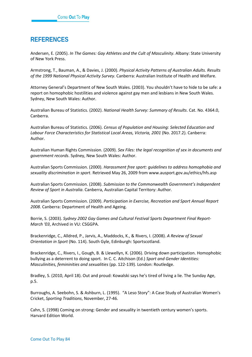# **REFERENCES**

Andersen, E. (2005). *In The Games: Gay Athletes and the Cult of Masculinity*. Albany: State University of New York Press.

Armstrong, T., Bauman, A., & Davies, J. (2000). *Physical Activity Patterns of Australian Adults. Results of the 1999 National Physical Activity Survey*. Canberra: Australian Institute of Health and Welfare.

Attorney General's Department of New South Wales. (2003). You shouldn't have to hide to be safe: a report on homophobic hostilities and violence against gay men and lesbians in New South Wales. Sydney, New South Wales: Author.

Australian Bureau of Statistics. (2002). *National Health Survey: Summary of Results*. Cat. No. 4364.0, Canberra.

Australian Bureau of Statistics. (2006). *Census of Population and Housing: Selected Education and Labour Force Characteristics for Statistical Local Areas, Victoria, 2001* (No. 2017.2). Canberra: Author.

Australian Human Rights Commission. (2009). *Sex Files: the legal recognition of sex in documents and government records*. Sydney, New South Wales: Author.

Australian Sports Commission. (2000). *Harassment free sport: guidelines to address homophobia and sexuality discrimination in sport*. Retrieved May 26, 2009 from www.ausport.gov.au/ethics/hfs.asp

Australian Sports Commission. (2008). *Submission to the Commonwealth Government's Independent Review of Sport in Australia*. Canberra, Australian Capital Territory: Author.

Australian Sports Commission. (2009). *Participation in Exercise, Recreation and Sport Annual Report 2008*. Canberra: Department of Health and Ageing.

Borrie, S. (2003). *Sydney 2002 Gay Games and Cultural Festival Sports Department Final Report-March '03*, Archived in VU: CSGGPA.

Brackenridge, C., Alldred, P., Jarvis, A., Maddocks, K., & Rivers, I. (2008). *A Review of Sexual Orientation in Sport* (No. 114). South Gyle, Edinburgh: Sportscotland.

Brackenridge, C., Rivers, I., Gough, B. & Llewellyn, K. (2006). Driving down participation. Homophobic bullying as a deterrent to doing sport. In C. C. Aitchison (Ed.) *Sport and Gender Identities: Masculinities, femininities and sexualities* (pp. 122-139)*.* London: Routledge.

Bradley, S. (2010, April 18). Out and proud: Kowalski says he's tired of living a lie. The Sunday Age, p.5.

Burroughs, A. Seebohn, S. & Ashburn, L. (1995). "A Leso Story": A Case Study of Australian Women's Cricket, *Sporting Traditions*, November, 27-46.

Cahn, S. (1998) Coming on strong: Gender and sexuality in twentieth century women's sports. Harvard Edition World.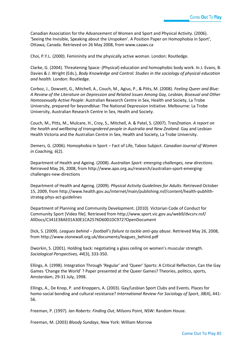Canadian Association for the Advancement of Women and Sport and Physical Activity. (2006). 'Seeing the Invisible, Speaking about the Unspoken'. A Position Paper on Homophobia in Sport', Ottawa, Canada. Retrieved on 26 May 2008, from www.caaws.ca

Choi, P.Y.L. (2000). Femininity and the physically active woman. London: Routledge.

Clarke, G. (2004). Threatening Space: (Physical) education and homophobic body work. In J. Evans, B. Davies & J. Wright (Eds.), *Body Knowledge and Control: Studies in the sociology of physical education and health*. London: Routledge.

Corboz, J., Dowsett, G., Mitchell, A., Couch, M., Agius, P., & Pitts, M. (2008). *Feeling Queer and Blue: A Review of the Literature on Depression and Related Issues Among Gay, Lesbian, Bisexual and Other Homosexually Active People*: Australian Research Centre in Sex, Health and Society, La Trobe University, prepared for beyondblue: The National Depression Initiative. Melbourne: La Trobe University, Australian Research Centre in Sex, Health and Society.

Couch, M., Pitts, M., Mulcare, H., Croy, S., Mitchell, A. & Patel, S. (2007). T*ranZnation. A report on*  the health and wellbeing of transgndered people in Australia and New Zealand. Gay and Lesbian Health Victoria and the Australian Centre in Sex, Health and Society, La Trobe University.

Demers, G. (2006). Homophobia in Sport – Fact of Life, Taboo Subject. *Canadian Journal of Women in Coaching, 6*(2).

Department of Health and Ageing. (2008). *Australian Sport: emerging challenges, new directions*. Retrieved May 26, 2008, from http://www.apo.org.au/research/australian-sport-emergingchallenges-new-directions

Department of Health and Ageing. (2009). *Physical Activity Guidelines for Adults*. Retrieved October 15, 2009, from http://www.health.gov.au/internet/main/publishing.nsf/content/health-pubhlthstrateg-phys-act-guidelines

Department of Planning and Community Development. (2010). Victorian Code of Conduct for Community Sport [Video file]. Retrieved from http://www.sport.vic.gov.au/web9/dvcsrv.nsf/ AllDocs/C341E38AE01A30E1CA2576D6001DC972?OpenDocument

Dick, S. (2009). *Leagues behind – football's failure to tackle anti-gay abuse*. Retrieved May 26, 2008, from http://www.stonewall.org.uk/documents/leagues\_behind.pdf

Dworkin, S. (2001). Holding back: negotiating a glass ceiling on women's muscular strength. *Sociological Perspectives, 44*(3), 333-350.

Ellings, A. (1998). Integration Through 'Regular' and 'Queer' Sports: A Critical Reflection, Can the Gay Games 'Change the World' ? Paper presented at the Queer Games? Theories, politics, sports, Amsterdam, 29-31 July, 1998.

Ellings, A., De Knop, P. and Knoppers, A. (2003). Gay/Lesbian Sport Clubs and Events. Places for homo-social bonding and cultural resistance? *International Review For Sociology of Sport*, *38*(4), 441- 56.

Freeman, P. (1997). *Ian Roberts: Finding Out*, Milsons Point, NSW: Random House.

Freeman, M. (2003) *Bloody Sundays*, New York: William Morrow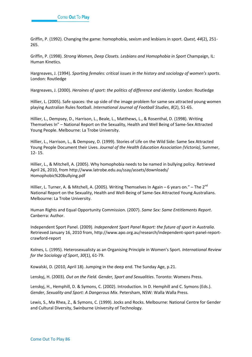Griffin, P. (1992). Changing the game: homophobia, sexism and lesbians in sport. *Quest, 44*(2), 251- 265.

Griffin, P. (1998). *Strong Women, Deep Closets. Lesbians and Homophobia in Sport* Champaign, IL: Human Kinetics.

Hargreaves, J. (1994). *Sporting females: critical issues in the history and sociology of women's sports*. London: Routledge

Hargreaves, J. (2000). *Heroines of sport: the politics of difference and identity*. London: Routledge

Hillier, L. (2005). Safe spaces: the up side of the image problem for same sex attracted young women playing Australian Rules football. *International Journal of Football Studies*, *8*(2), 51-65.

Hillier, L., Dempsey, D., Harrison, L., Beale, L., Matthews, L., & Rosenthal, D. (1998). Writing Themselves In" – National Report on the Sexuality, Health and Well Being of Same-Sex Attracted Young People. Melbourne: La Trobe University.

Hillier, L., Harrison, L., & Dempsey, D. (1999). Stories of Life on the Wild Side: Same Sex Attracted Young People Document their Lives. *Journal of the Health Education Association (Victoria)*, Summer, 12- 15.

Hillier, L., & Mitchell, A. (2005). Why homophobia needs to be named in bullying policy. Retrieved April 26, 2010, from http://www.latrobe.edu.au/ssay/assets/downloads/ Homophobic%20bullying.pdf

Hillier, L. Turner, A. & Mitchell, A. (2005). Writing Themselves In Again – 6 years on." – The 2<sup>nd</sup> National Report on the Sexuality, Health and Well-Being of Same-Sex Attracted Young Australians. Melbourne: La Trobe University.

Human Rights and Equal Opportunity Commission. (2007). *Same Sex: Same Entitlements Report*. Canberra: Author.

Independent Sport Panel. (2009). *Independent Sport Panel Report: the future of sport in Australia*. Retrieved January 16, 2010 from, http://www.apo.org.au/research/independent-sport-panel-reportcrawford-report

Kolnes, L. (1995). Heterosexualisty as an Organising Principle in Women's Sport. *International Review for the Sociology of Sport*, *30*(1), 61-79.

Kowalski, D. (2010, April 18). Jumping in the deep end. The Sunday Age, p.21.

Lenskyj, H. (2003). *Out on the Field. Gender, Sport and Sexualities*. Toronto: Womens Press.

Lenskyj, H., Hemphill, D. & Symons, C. (2002). Introduction. In D. Hemphill and C. Symons (Eds.). *Gender, Sexuality and Sport: A Dangerous Mix*. Petersham, NSW: Walla Walla Press.

Lewis, S., Ma Rhea, Z., & Symons, C. (1999). Jocks and Rocks. Melbourne: National Centre for Gender and Cultural Diversity, Swinburne University of Technology.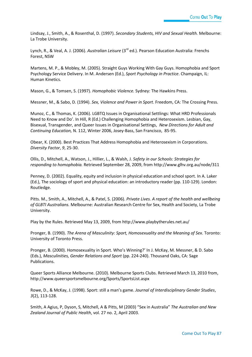Lindsay, J., Smith, A., & Rosenthal, D. (1997). *Secondary Students, HIV and Sexual Health.* Melbourne: La Trobe University.

Lynch, R., & Veal, A. J. (2006). *Australian Leisure* (3<sup>rd</sup> ed.). Pearson Education Australia: Frenchs Forest, NSW

Martens, M. P., & Mobley, M. (2005). Straight Guys Working With Gay Guys. Homophobia and Sport Psychology Service Delivery. In M. Andersen (Ed.), *Sport Psychology in Practice*. Champaign, IL: Human Kinetics.

Mason, G., & Tomsen, S. (1997). *Homophobic Violence.* Sydney: The Hawkins Press.

Messner, M., & Sabo, D. (1994). *Sex, Violence and Power in Sport*. Freedom, CA: The Crossing Press.

Munoz, C., & Thomas, K. (2006). LGBTQ Issues in Organisational Settlings: What HRD Professionals Need to Know and Do'. In Hill, R (Ed.) Challenging Homophobia and Heterosexism. Lesbian, Gay, Bisexual, Transgender, and Queer Issues in Organisational Settings, *New Directions for Adult and Continuing Education,* N. 112, Winter 2006, Josey-Bass, San Francisco, 85-95.

Obear, K. (2000). Best Practices That Address Homophobia and Heterosexism in Corporations. *Diversity Factor*, *9*, 25-30.

Ollis, D., Mitchell, A., Watson, J., Hillier, L., & Walsh, J. *Safety in our Schools: Strategies for responding to homophobia.* Retrieved September 28, 2009, from http://www.glhv.org.au/node/311

Penney, D. (2002). Equality, equity and inclusion in physical education and school sport. In A. Laker (Ed.), The sociology of sport and physical education: an introductory reader (pp. 110-129). London: Routledge.

Pitts. M., Smith, A., Mitchell, A., & Patel, S. (2006). *Private Lives. A report of the health and wellbeing of GLBTI Australians.* Melbourne: Australian Research Centre for Sex, Health and Society, La Trobe University.

Play by the Rules. Retrieved May 13, 2009, from http://www.playbytherules.net.au/

Pronger, B. (1990). *The Arena of Masculinity: Sport, Homosexuality and the Meaning of Sex*. Toronto: University of Toronto Press.

Pronger, B. (2000). Homosexuality in Sport. Who's Winning?' In J. McKay, M. Messner, & D. Sabo (Eds.), *Masculinities, Gender Relations and Sport* (pp. 224-240). Thousand Oaks, CA: Sage Publications.

Queer Sports Alliance Melbourne. (2010). Melbourne Sports Clubs. Retrieved March 13, 2010 from, http://www.queersportsmelbourne.org/Sports/SportsList.aspx

Rowe, D., & McKay, J. (1998). Sport: still a man's game. *Journal of Interdisciplinary Gender Studies*, *3*(2), 113-128.

Smith, A Agius, P, Dyson, S, Mitchell, A & Pitts, M (2003) "Sex in Australia" *The Australian and New Zealand Journal of Public Health*, vol. 27 no. 2, April 2003.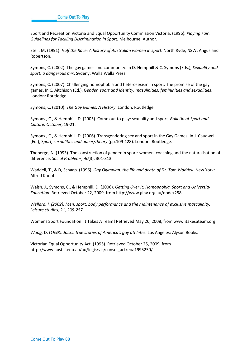Sport and Recreation Victoria and Equal Opportunity Commission Victoria. (1996). *Playing Fair. Guidelines for Tackling Discrimination in Sport.* Melbourne: Author.

Stell, M. (1991). *Half the Race: A history of Australian women in sport.* North Ryde, NSW: Angus and Robertson.

Symons, C. (2002). The gay games and community. In D. Hemphill & C. Symons (Eds.), *Sexuality and sport: a dangerous mix*. Sydeny: Walla Walla Press.

Symons, C. (2007). Challenging homophobia and heterosexism in sport. The promise of the gay games. In C. Aitchison (Ed.), *Gender, sport and identity: masulinities, femininities and sexualities*. London: Routledge.

Symons, C. (2010). *The Gay Games: A History*. London: Routledge.

Symons , C., & Hemphill, D. (2005). Come out to play: sexuality and sport. *Bulletin of Sport and Culture, October*, 19-21.

Symons , C., & Hemphill, D. (2006). Transgendering sex and sport in the Gay Games. In J. Caudwell (Ed.), S*port, sexualities and queer/theory* (pp.109-128). London: Routledge.

Theberge, N. (1993). The construction of gender in sport: women, coaching and the naturalisation of difference. *Social Problems, 40*(3), 301-313.

Waddell, T., & D, Schaap. (1996). *Gay Olympian: the life and death of Dr. Tom Waddell.* New York: Alfred Knopf.

Walsh, J., Symons, C., & Hemphill, D. (2006). *Getting Over It: Homophobia, Sport and University Education.* Retrieved October 22, 2009, from http://www.glhv.org.au/node/258

*Wellard, I. (2002). Men, sport, body performance and the maintenance of exclusive masculinity. Leisure studies, 21, 235-257.*

Womens Sport Foundation. It Takes A Team! Retrieved May 26, 2008, from www.itakesateam.org

*Woog,* D. (*1998). Jocks: true stories of America's gay athletes.* Los Angeles: Alyson Books.

Victorian Equal Opportunity Act. (1995). Retrieved October 25, 2009, from http://www.austlii.edu.au/au/legis/vic/consol\_act/eoa1995250/